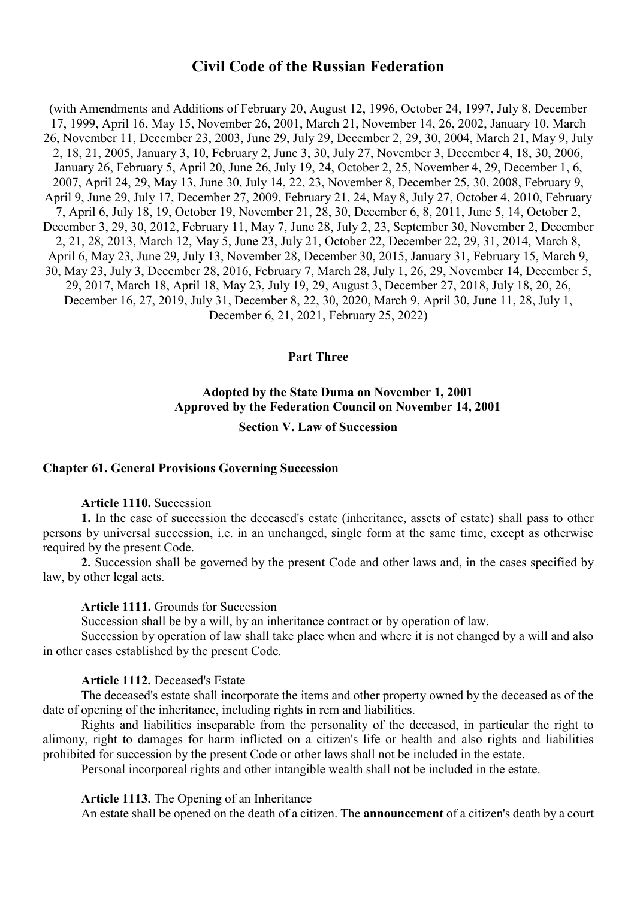# **Civil Code of the Russian Federation**

(with Amendments and Additions of February 20, August 12, 1996, October 24, 1997, July 8, December 17, 1999, April 16, May 15, November 26, 2001, March 21, November 14, 26, 2002, January 10, March 26, November 11, December 23, 2003, June 29, July 29, December 2, 29, 30, 2004, March 21, May 9, July 2, 18, 21, 2005, January 3, 10, February 2, June 3, 30, July 27, November 3, December 4, 18, 30, 2006, January 26, February 5, April 20, June 26, July 19, 24, October 2, 25, November 4, 29, December 1, 6, 2007, April 24, 29, May 13, June 30, July 14, 22, 23, November 8, December 25, 30, 2008, February 9, April 9, June 29, July 17, December 27, 2009, February 21, 24, May 8, July 27, October 4, 2010, February 7, April 6, July 18, 19, October 19, November 21, 28, 30, December 6, 8, 2011, June 5, 14, October 2, December 3, 29, 30, 2012, February 11, May 7, June 28, July 2, 23, September 30, November 2, December 2, 21, 28, 2013, March 12, May 5, June 23, July 21, October 22, December 22, 29, 31, 2014, March 8, April 6, May 23, June 29, July 13, November 28, December 30, 2015, January 31, February 15, March 9, 30, May 23, July 3, December 28, 2016, February 7, March 28, July 1, 26, 29, November 14, December 5, 29, 2017, March 18, April 18, May 23, July 19, 29, August 3, December 27, 2018, July 18, 20, 26, December 16, 27, 2019, July 31, December 8, 22, 30, 2020, March 9, April 30, June 11, 28, July 1, December 6, 21, 2021, February 25, 2022)

#### **Part Three**

# **Adopted by the State Duma on November 1, 2001 Approved by the Federation Council on November 14, 2001**

#### **Section V. Law of Succession**

## **Chapter 61. General Provisions Governing Succession**

#### **Article 1110.** Succession

**1.** In the case of succession the deceased's estate (inheritance, assets of estate) shall pass to other persons by universal succession, i.e. in an unchanged, single form at the same time, except as otherwise required by the present Code.

**2.** Succession shall be governed by the present Code and other laws and, in the cases specified by law, by other legal acts.

#### **Article 1111.** Grounds for Succession

Succession shall be by a will, by an inheritance contract or by operation of law.

Succession by operation of law shall take place when and where it is not changed by a will and also in other cases established by the present Code.

### **Article 1112.** Deceased's Estate

The deceased's estate shall incorporate the items and other property owned by the deceased as of the date of opening of the inheritance, including rights in rem and liabilities.

Rights and liabilities inseparable from the personality of the deceased, in particular the right to alimony, right to damages for harm inflicted on a citizen's life or health and also rights and liabilities prohibited for succession by the present Code or other laws shall not be included in the estate.

Personal incorporeal rights and other intangible wealth shall not be included in the estate.

#### **Article 1113.** The Opening of an Inheritance

An estate shall be opened on the death of a citizen. The **announcement** of a citizen's death by a court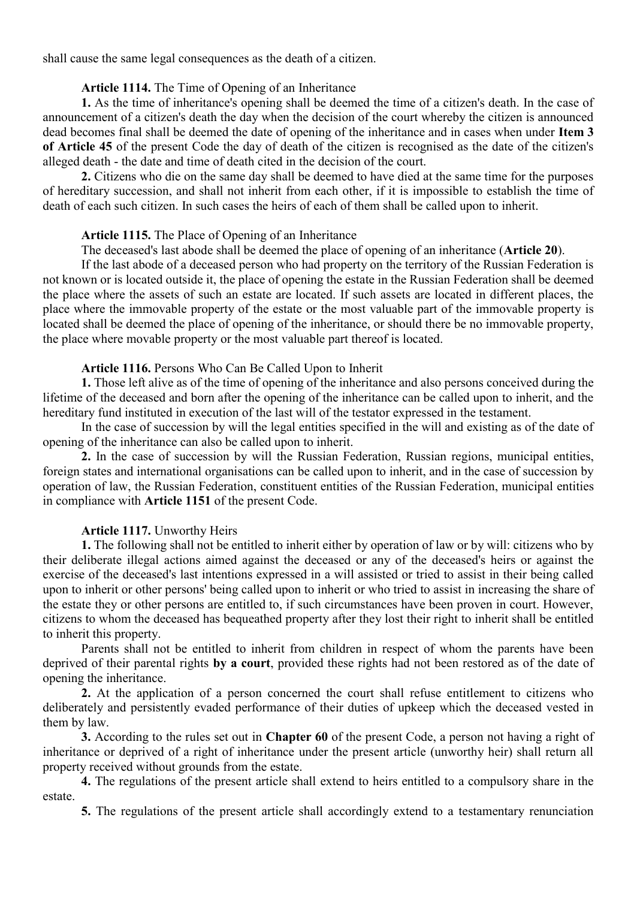shall cause the same legal consequences as the death of a citizen.

### **Article 1114.** The Time of Opening of an Inheritance

**1.** As the time of inheritance's opening shall be deemed the time of a citizen's death. In the case of announcement of a citizen's death the day when the decision of the court whereby the citizen is announced dead becomes final shall be deemed the date of opening of the inheritance and in cases when under **Item 3 of Article 45** of the present Code the day of death of the citizen is recognised as the date of the citizen's alleged death - the date and time of death cited in the decision of the court.

**2.** Citizens who die on the same day shall be deemed to have died at the same time for the purposes of hereditary succession, and shall not inherit from each other, if it is impossible to establish the time of death of each such citizen. In such cases the heirs of each of them shall be called upon to inherit.

# **Article 1115.** The Place of Opening of an Inheritance

The deceased's last abode shall be deemed the place of opening of an inheritance (**Article 20**).

If the last abode of a deceased person who had property on the territory of the Russian Federation is not known or is located outside it, the place of opening the estate in the Russian Federation shall be deemed the place where the assets of such an estate are located. If such assets are located in different places, the place where the immovable property of the estate or the most valuable part of the immovable property is located shall be deemed the place of opening of the inheritance, or should there be no immovable property, the place where movable property or the most valuable part thereof is located.

# **Article 1116.** Persons Who Can Be Called Upon to Inherit

**1.** Those left alive as of the time of opening of the inheritance and also persons conceived during the lifetime of the deceased and born after the opening of the inheritance can be called upon to inherit, and the hereditary fund instituted in execution of the last will of the testator expressed in the testament.

In the case of succession by will the legal entities specified in the will and existing as of the date of opening of the inheritance can also be called upon to inherit.

**2.** In the case of succession by will the Russian Federation, Russian regions, municipal entities, foreign states and international organisations can be called upon to inherit, and in the case of succession by operation of law, the Russian Federation, constituent entities of the Russian Federation, municipal entities in compliance with **Article 1151** of the present Code.

# **Article 1117.** Unworthy Heirs

**1.** The following shall not be entitled to inherit either by operation of law or by will: citizens who by their deliberate illegal actions aimed against the deceased or any of the deceased's heirs or against the exercise of the deceased's last intentions expressed in a will assisted or tried to assist in their being called upon to inherit or other persons' being called upon to inherit or who tried to assist in increasing the share of the estate they or other persons are entitled to, if such circumstances have been proven in court. However, citizens to whom the deceased has bequeathed property after they lost their right to inherit shall be entitled to inherit this property.

Parents shall not be entitled to inherit from children in respect of whom the parents have been deprived of their parental rights **by a court**, provided these rights had not been restored as of the date of opening the inheritance.

**2.** At the application of a person concerned the court shall refuse entitlement to citizens who deliberately and persistently evaded performance of their duties of upkeep which the deceased vested in them by law.

**3.** According to the rules set out in **Chapter 60** of the present Code, a person not having a right of inheritance or deprived of a right of inheritance under the present article (unworthy heir) shall return all property received without grounds from the estate.

**4.** The regulations of the present article shall extend to heirs entitled to a compulsory share in the estate.

**5.** The regulations of the present article shall accordingly extend to a testamentary renunciation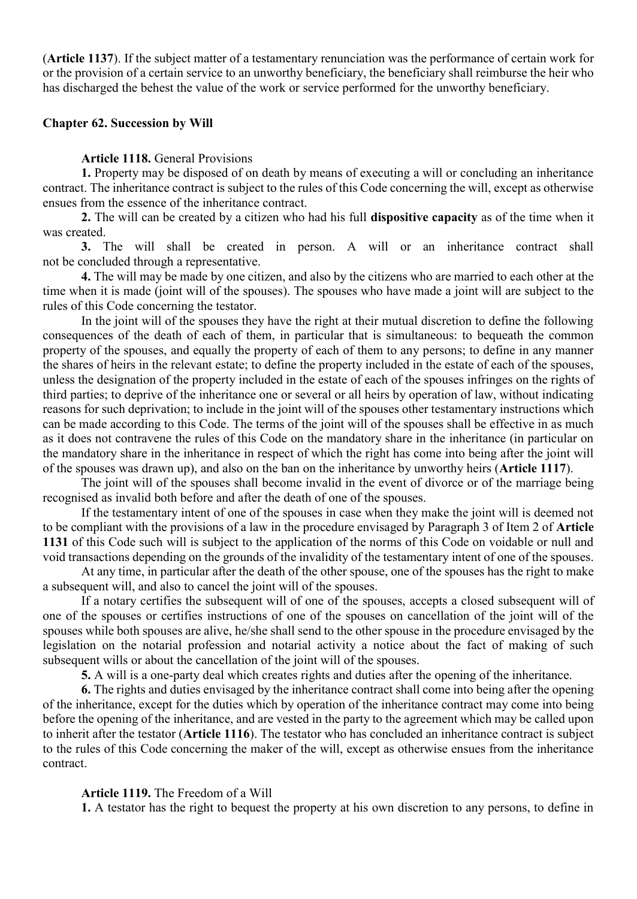(**Article 1137**). If the subject matter of a testamentary renunciation was the performance of certain work for or the provision of a certain service to an unworthy beneficiary, the beneficiary shall reimburse the heir who has discharged the behest the value of the work or service performed for the unworthy beneficiary.

#### **Chapter 62. Succession by Will**

#### **Article 1118.** General Provisions

**1.** Property may be disposed of on death by means of executing a will or concluding an inheritance contract. The inheritance contract is subject to the rules of this Code concerning the will, except as otherwise ensues from the essence of the inheritance contract.

**2.** The will can be created by a citizen who had his full **dispositive capacity** as of the time when it was created.

**3.** The will shall be created in person. A will or an inheritance contract shall not be concluded through a representative.

**4.** The will may be made by one citizen, and also by the citizens who are married to each other at the time when it is made (joint will of the spouses). The spouses who have made a joint will are subject to the rules of this Code concerning the testator.

In the joint will of the spouses they have the right at their mutual discretion to define the following consequences of the death of each of them, in particular that is simultaneous: to bequeath the common property of the spouses, and equally the property of each of them to any persons; to define in any manner the shares of heirs in the relevant estate; to define the property included in the estate of each of the spouses, unless the designation of the property included in the estate of each of the spouses infringes on the rights of third parties; to deprive of the inheritance one or several or all heirs by operation of law, without indicating reasons for such deprivation; to include in the joint will of the spouses other testamentary instructions which can be made according to this Code. The terms of the joint will of the spouses shall be effective in as much as it does not contravene the rules of this Code on the mandatory share in the inheritance (in particular on the mandatory share in the inheritance in respect of which the right has come into being after the joint will of the spouses was drawn up), and also on the ban on the inheritance by unworthy heirs (**Article 1117**).

The joint will of the spouses shall become invalid in the event of divorce or of the marriage being recognised as invalid both before and after the death of one of the spouses.

If the testamentary intent of one of the spouses in case when they make the joint will is deemed not to be compliant with the provisions of a law in the procedure envisaged by Paragraph 3 of Item 2 of **Article 1131** of this Code such will is subject to the application of the norms of this Code on voidable or null and void transactions depending on the grounds of the invalidity of the testamentary intent of one of the spouses.

At any time, in particular after the death of the other spouse, one of the spouses has the right to make a subsequent will, and also to cancel the joint will of the spouses.

If a notary certifies the subsequent will of one of the spouses, accepts a closed subsequent will of one of the spouses or certifies instructions of one of the spouses on cancellation of the joint will of the spouses while both spouses are alive, he/she shall send to the other spouse in the procedure envisaged by the legislation on the notarial profession and notarial activity a notice about the fact of making of such subsequent wills or about the cancellation of the joint will of the spouses.

**5.** A will is a one-party deal which creates rights and duties after the opening of the inheritance.

**6.** The rights and duties envisaged by the inheritance contract shall come into being after the opening of the inheritance, except for the duties which by operation of the inheritance contract may come into being before the opening of the inheritance, and are vested in the party to the agreement which may be called upon to inherit after the testator (**Article 1116**). The testator who has concluded an inheritance contract is subject to the rules of this Code concerning the maker of the will, except as otherwise ensues from the inheritance contract.

**Article 1119.** The Freedom of a Will

**1.** A testator has the right to bequest the property at his own discretion to any persons, to define in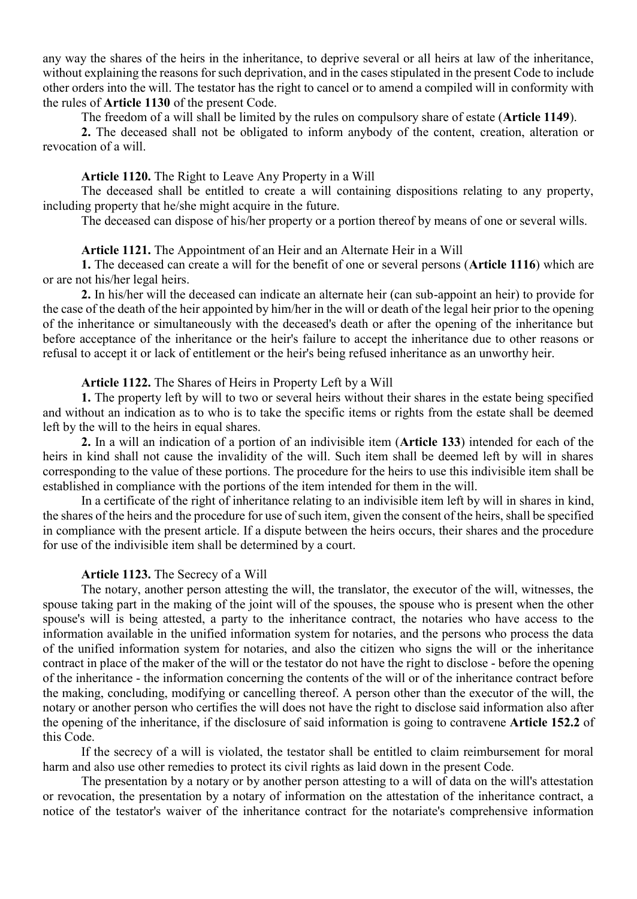any way the shares of the heirs in the inheritance, to deprive several or all heirs at law of the inheritance, without explaining the reasons for such deprivation, and in the cases stipulated in the present Code to include other orders into the will. The testator has the right to cancel or to amend a compiled will in conformity with the rules of **Article 1130** of the present Code.

The freedom of a will shall be limited by the rules on compulsory share of estate (**Article 1149**).

**2.** The deceased shall not be obligated to inform anybody of the content, creation, alteration or revocation of a will.

#### **Article 1120.** The Right to Leave Any Property in a Will

The deceased shall be entitled to create a will containing dispositions relating to any property, including property that he/she might acquire in the future.

The deceased can dispose of his/her property or a portion thereof by means of one or several wills.

#### **Article 1121.** The Appointment of an Heir and an Alternate Heir in a Will

**1.** The deceased can create a will for the benefit of one or several persons (**Article 1116**) which are or are not his/her legal heirs.

**2.** In his/her will the deceased can indicate an alternate heir (can sub-appoint an heir) to provide for the case of the death of the heir appointed by him/her in the will or death of the legal heir prior to the opening of the inheritance or simultaneously with the deceased's death or after the opening of the inheritance but before acceptance of the inheritance or the heir's failure to accept the inheritance due to other reasons or refusal to accept it or lack of entitlement or the heir's being refused inheritance as an unworthy heir.

#### **Article 1122.** The Shares of Heirs in Property Left by a Will

**1.** The property left by will to two or several heirs without their shares in the estate being specified and without an indication as to who is to take the specific items or rights from the estate shall be deemed left by the will to the heirs in equal shares.

**2.** In a will an indication of a portion of an indivisible item (**Article 133**) intended for each of the heirs in kind shall not cause the invalidity of the will. Such item shall be deemed left by will in shares corresponding to the value of these portions. The procedure for the heirs to use this indivisible item shall be established in compliance with the portions of the item intended for them in the will.

In a certificate of the right of inheritance relating to an indivisible item left by will in shares in kind, the shares of the heirs and the procedure for use of such item, given the consent of the heirs, shall be specified in compliance with the present article. If a dispute between the heirs occurs, their shares and the procedure for use of the indivisible item shall be determined by a court.

#### **Article 1123.** The Secrecy of a Will

The notary, another person attesting the will, the translator, the executor of the will, witnesses, the spouse taking part in the making of the joint will of the spouses, the spouse who is present when the other spouse's will is being attested, a party to the inheritance contract, the notaries who have access to the information available in the unified information system for notaries, and the persons who process the data of the unified information system for notaries, and also the citizen who signs the will or the inheritance contract in place of the maker of the will or the testator do not have the right to disclose - before the opening of the inheritance - the information concerning the contents of the will or of the inheritance contract before the making, concluding, modifying or cancelling thereof. A person other than the executor of the will, the notary or another person who certifies the will does not have the right to disclose said information also after the opening of the inheritance, if the disclosure of said information is going to contravene **Article 152.2** of this Code.

If the secrecy of a will is violated, the testator shall be entitled to claim reimbursement for moral harm and also use other remedies to protect its civil rights as laid down in the present Code.

The presentation by a notary or by another person attesting to a will of data on the will's attestation or revocation, the presentation by a notary of information on the attestation of the inheritance contract, a notice of the testator's waiver of the inheritance contract for the notariate's comprehensive information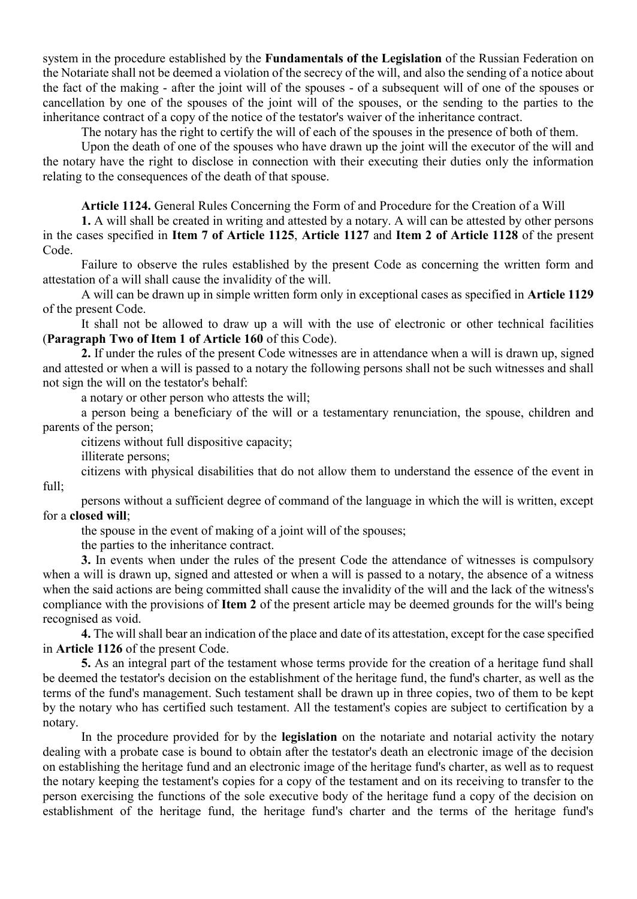system in the procedure established by the **Fundamentals of the Legislation** of the Russian Federation on the Notariate shall not be deemed a violation of the secrecy of the will, and also the sending of a notice about the fact of the making - after the joint will of the spouses - of a subsequent will of one of the spouses or cancellation by one of the spouses of the joint will of the spouses, or the sending to the parties to the inheritance contract of a copy of the notice of the testator's waiver of the inheritance contract.

The notary has the right to certify the will of each of the spouses in the presence of both of them.

Upon the death of one of the spouses who have drawn up the joint will the executor of the will and the notary have the right to disclose in connection with their executing their duties only the information relating to the consequences of the death of that spouse.

**Article 1124.** General Rules Concerning the Form of and Procedure for the Creation of a Will

**1.** A will shall be created in writing and attested by a notary. A will can be attested by other persons in the cases specified in **Item 7 of Article 1125**, **Article 1127** and **Item 2 of Article 1128** of the present Code.

Failure to observe the rules established by the present Code as concerning the written form and attestation of a will shall cause the invalidity of the will.

A will can be drawn up in simple written form only in exceptional cases as specified in **Article 1129** of the present Code.

It shall not be allowed to draw up a will with the use of electronic or other technical facilities (**Paragraph Two of Item 1 of Article 160** of this Code).

**2.** If under the rules of the present Code witnesses are in attendance when a will is drawn up, signed and attested or when a will is passed to a notary the following persons shall not be such witnesses and shall not sign the will on the testator's behalf:

a notary or other person who attests the will;

a person being a beneficiary of the will or a testamentary renunciation, the spouse, children and parents of the person;

citizens without full dispositive capacity;

illiterate persons;

citizens with physical disabilities that do not allow them to understand the essence of the event in full;

persons without a sufficient degree of command of the language in which the will is written, except for a **closed will**;

the spouse in the event of making of a joint will of the spouses;

the parties to the inheritance contract.

**3.** In events when under the rules of the present Code the attendance of witnesses is compulsory when a will is drawn up, signed and attested or when a will is passed to a notary, the absence of a witness when the said actions are being committed shall cause the invalidity of the will and the lack of the witness's compliance with the provisions of **Item 2** of the present article may be deemed grounds for the will's being recognised as void.

**4.** The will shall bear an indication of the place and date of its attestation, except for the case specified in **Article 1126** of the present Code.

**5.** As an integral part of the testament whose terms provide for the creation of a heritage fund shall be deemed the testator's decision on the establishment of the heritage fund, the fund's charter, as well as the terms of the fund's management. Such testament shall be drawn up in three copies, two of them to be kept by the notary who has certified such testament. All the testament's copies are subject to certification by a notary.

In the procedure provided for by the **legislation** on the notariate and notarial activity the notary dealing with a probate case is bound to obtain after the testator's death an electronic image of the decision on establishing the heritage fund and an electronic image of the heritage fund's charter, as well as to request the notary keeping the testament's copies for a copy of the testament and on its receiving to transfer to the person exercising the functions of the sole executive body of the heritage fund a copy of the decision on establishment of the heritage fund, the heritage fund's charter and the terms of the heritage fund's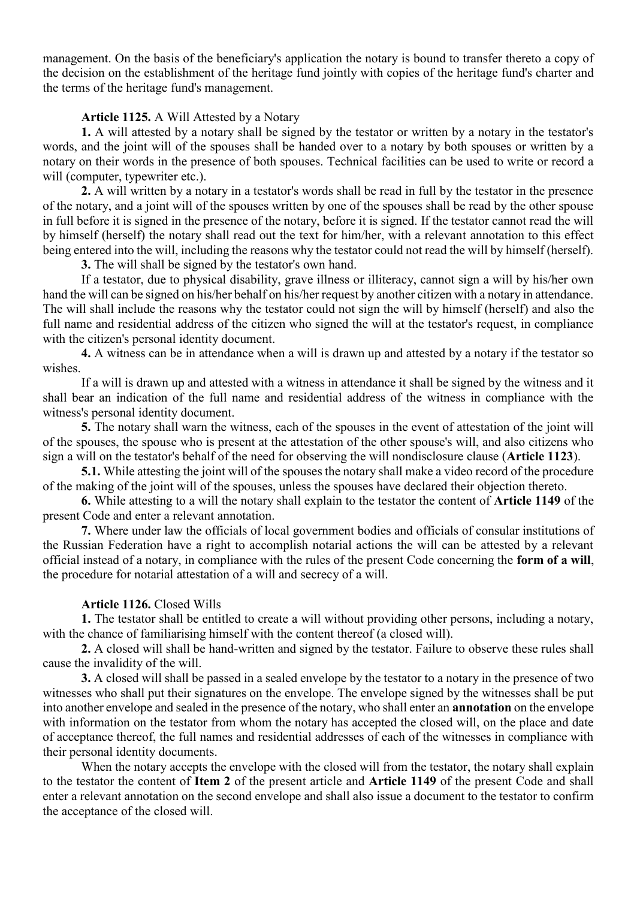management. On the basis of the beneficiary's application the notary is bound to transfer thereto a copy of the decision on the establishment of the heritage fund jointly with copies of the heritage fund's charter and the terms of the heritage fund's management.

### **Article 1125.** A Will Attested by a Notary

**1.** A will attested by a notary shall be signed by the testator or written by a notary in the testator's words, and the joint will of the spouses shall be handed over to a notary by both spouses or written by a notary on their words in the presence of both spouses. Technical facilities can be used to write or record a will (computer, typewriter etc.).

**2.** A will written by a notary in a testator's words shall be read in full by the testator in the presence of the notary, and a joint will of the spouses written by one of the spouses shall be read by the other spouse in full before it is signed in the presence of the notary, before it is signed. If the testator cannot read the will by himself (herself) the notary shall read out the text for him/her, with a relevant annotation to this effect being entered into the will, including the reasons why the testator could not read the will by himself (herself).

**3.** The will shall be signed by the testator's own hand.

If a testator, due to physical disability, grave illness or illiteracy, cannot sign a will by his/her own hand the will can be signed on his/her behalf on his/her request by another citizen with a notary in attendance. The will shall include the reasons why the testator could not sign the will by himself (herself) and also the full name and residential address of the citizen who signed the will at the testator's request, in compliance with the citizen's personal identity document.

**4.** A witness can be in attendance when a will is drawn up and attested by a notary if the testator so wishes.

If a will is drawn up and attested with a witness in attendance it shall be signed by the witness and it shall bear an indication of the full name and residential address of the witness in compliance with the witness's personal identity document.

**5.** The notary shall warn the witness, each of the spouses in the event of attestation of the joint will of the spouses, the spouse who is present at the attestation of the other spouse's will, and also citizens who sign a will on the testator's behalf of the need for observing the will nondisclosure clause (**Article 1123**).

**5.1.** While attesting the joint will of the spouses the notary shall make a video record of the procedure of the making of the joint will of the spouses, unless the spouses have declared their objection thereto.

**6.** While attesting to a will the notary shall explain to the testator the content of **Article 1149** of the present Code and enter a relevant annotation.

**7.** Where under law the officials of local government bodies and officials of consular institutions of the Russian Federation have a right to accomplish notarial actions the will can be attested by a relevant official instead of a notary, in compliance with the rules of the present Code concerning the **form of a will**, the procedure for notarial attestation of a will and secrecy of a will.

# **Article 1126.** Closed Wills

**1.** The testator shall be entitled to create a will without providing other persons, including a notary, with the chance of familiarising himself with the content thereof (a closed will).

**2.** A closed will shall be hand-written and signed by the testator. Failure to observe these rules shall cause the invalidity of the will.

**3.** A closed will shall be passed in a sealed envelope by the testator to a notary in the presence of two witnesses who shall put their signatures on the envelope. The envelope signed by the witnesses shall be put into another envelope and sealed in the presence of the notary, who shall enter an **annotation** on the envelope with information on the testator from whom the notary has accepted the closed will, on the place and date of acceptance thereof, the full names and residential addresses of each of the witnesses in compliance with their personal identity documents.

When the notary accepts the envelope with the closed will from the testator, the notary shall explain to the testator the content of **Item 2** of the present article and **Article 1149** of the present Code and shall enter a relevant annotation on the second envelope and shall also issue a document to the testator to confirm the acceptance of the closed will.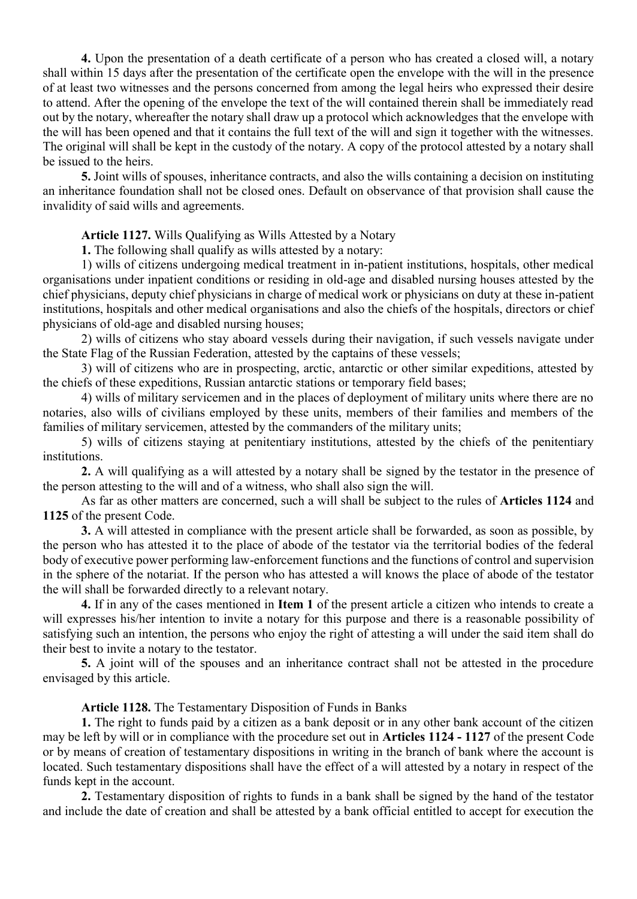**4.** Upon the presentation of a death certificate of a person who has created a closed will, a notary shall within 15 days after the presentation of the certificate open the envelope with the will in the presence of at least two witnesses and the persons concerned from among the legal heirs who expressed their desire to attend. After the opening of the envelope the text of the will contained therein shall be immediately read out by the notary, whereafter the notary shall draw up a protocol which acknowledges that the envelope with the will has been opened and that it contains the full text of the will and sign it together with the witnesses. The original will shall be kept in the custody of the notary. A copy of the protocol attested by a notary shall be issued to the heirs.

**5.** Joint wills of spouses, inheritance contracts, and also the wills containing a decision on instituting an inheritance foundation shall not be closed ones. Default on observance of that provision shall cause the invalidity of said wills and agreements.

**Article 1127.** Wills Qualifying as Wills Attested by a Notary

**1.** The following shall qualify as wills attested by a notary:

1) wills of citizens undergoing medical treatment in in-patient institutions, hospitals, other medical organisations under inpatient conditions or residing in old-age and disabled nursing houses attested by the chief physicians, deputy chief physicians in charge of medical work or physicians on duty at these in-patient institutions, hospitals and other medical organisations and also the chiefs of the hospitals, directors or chief physicians of old-age and disabled nursing houses;

2) wills of citizens who stay aboard vessels during their navigation, if such vessels navigate under the State Flag of the Russian Federation, attested by the captains of these vessels;

3) will of citizens who are in prospecting, arctic, antarctic or other similar expeditions, attested by the chiefs of these expeditions, Russian antarctic stations or temporary field bases;

4) wills of military servicemen and in the places of deployment of military units where there are no notaries, also wills of civilians employed by these units, members of their families and members of the families of military servicemen, attested by the commanders of the military units;

5) wills of citizens staying at penitentiary institutions, attested by the chiefs of the penitentiary institutions.

**2.** A will qualifying as a will attested by a notary shall be signed by the testator in the presence of the person attesting to the will and of a witness, who shall also sign the will.

As far as other matters are concerned, such a will shall be subject to the rules of **Articles 1124** and **1125** of the present Code.

**3.** A will attested in compliance with the present article shall be forwarded, as soon as possible, by the person who has attested it to the place of abode of the testator via the territorial bodies of the federal body of executive power performing law-enforcement functions and the functions of control and supervision in the sphere of the notariat. If the person who has attested a will knows the place of abode of the testator the will shall be forwarded directly to a relevant notary.

**4.** If in any of the cases mentioned in **Item 1** of the present article a citizen who intends to create a will expresses his/her intention to invite a notary for this purpose and there is a reasonable possibility of satisfying such an intention, the persons who enjoy the right of attesting a will under the said item shall do their best to invite a notary to the testator.

**5.** A joint will of the spouses and an inheritance contract shall not be attested in the procedure envisaged by this article.

**Article 1128.** The Testamentary Disposition of Funds in Banks

**1.** The right to funds paid by a citizen as a bank deposit or in any other bank account of the citizen may be left by will or in compliance with the procedure set out in **Articles 1124 - 1127** of the present Code or by means of creation of testamentary dispositions in writing in the branch of bank where the account is located. Such testamentary dispositions shall have the effect of a will attested by a notary in respect of the funds kept in the account.

**2.** Testamentary disposition of rights to funds in a bank shall be signed by the hand of the testator and include the date of creation and shall be attested by a bank official entitled to accept for execution the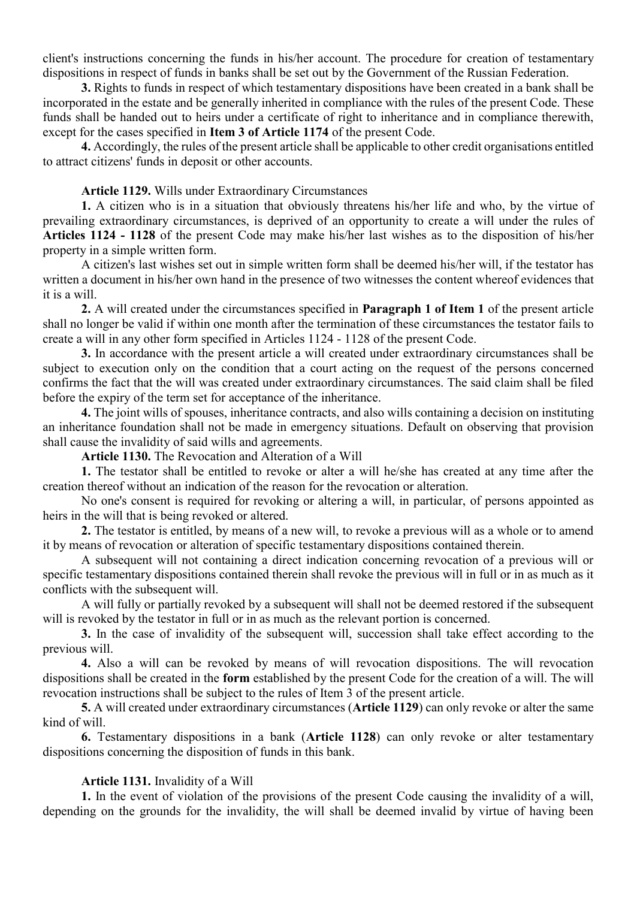client's instructions concerning the funds in his/her account. The procedure for creation of testamentary dispositions in respect of funds in banks shall be set out by the Government of the Russian Federation.

**3.** Rights to funds in respect of which testamentary dispositions have been created in a bank shall be incorporated in the estate and be generally inherited in compliance with the rules of the present Code. These funds shall be handed out to heirs under a certificate of right to inheritance and in compliance therewith, except for the cases specified in **Item 3 of Article 1174** of the present Code.

**4.** Accordingly, the rules of the present article shall be applicable to other credit organisations entitled to attract citizens' funds in deposit or other accounts.

#### **Article 1129.** Wills under Extraordinary Circumstances

**1.** A citizen who is in a situation that obviously threatens his/her life and who, by the virtue of prevailing extraordinary circumstances, is deprived of an opportunity to create a will under the rules of **Articles 1124 - 1128** of the present Code may make his/her last wishes as to the disposition of his/her property in a simple written form.

A citizen's last wishes set out in simple written form shall be deemed his/her will, if the testator has written a document in his/her own hand in the presence of two witnesses the content whereof evidences that it is a will.

**2.** A will created under the circumstances specified in **Paragraph 1 of Item 1** of the present article shall no longer be valid if within one month after the termination of these circumstances the testator fails to create a will in any other form specified in Articles 1124 - 1128 of the present Code.

**3.** In accordance with the present article a will created under extraordinary circumstances shall be subject to execution only on the condition that a court acting on the request of the persons concerned confirms the fact that the will was created under extraordinary circumstances. The said claim shall be filed before the expiry of the term set for acceptance of the inheritance.

**4.** The joint wills of spouses, inheritance contracts, and also wills containing a decision on instituting an inheritance foundation shall not be made in emergency situations. Default on observing that provision shall cause the invalidity of said wills and agreements.

**Article 1130.** The Revocation and Alteration of a Will

**1.** The testator shall be entitled to revoke or alter a will he/she has created at any time after the creation thereof without an indication of the reason for the revocation or alteration.

No one's consent is required for revoking or altering a will, in particular, of persons appointed as heirs in the will that is being revoked or altered.

**2.** The testator is entitled, by means of a new will, to revoke a previous will as a whole or to amend it by means of revocation or alteration of specific testamentary dispositions contained therein.

A subsequent will not containing a direct indication concerning revocation of a previous will or specific testamentary dispositions contained therein shall revoke the previous will in full or in as much as it conflicts with the subsequent will.

A will fully or partially revoked by a subsequent will shall not be deemed restored if the subsequent will is revoked by the testator in full or in as much as the relevant portion is concerned.

**3.** In the case of invalidity of the subsequent will, succession shall take effect according to the previous will.

**4.** Also a will can be revoked by means of will revocation dispositions. The will revocation dispositions shall be created in the **form** established by the present Code for the creation of a will. The will revocation instructions shall be subject to the rules of Item 3 of the present article.

**5.** A will created under extraordinary circumstances (**Article 1129**) can only revoke or alter the same kind of will.

**6.** Testamentary dispositions in a bank (**Article 1128**) can only revoke or alter testamentary dispositions concerning the disposition of funds in this bank.

#### **Article 1131.** Invalidity of a Will

**1.** In the event of violation of the provisions of the present Code causing the invalidity of a will, depending on the grounds for the invalidity, the will shall be deemed invalid by virtue of having been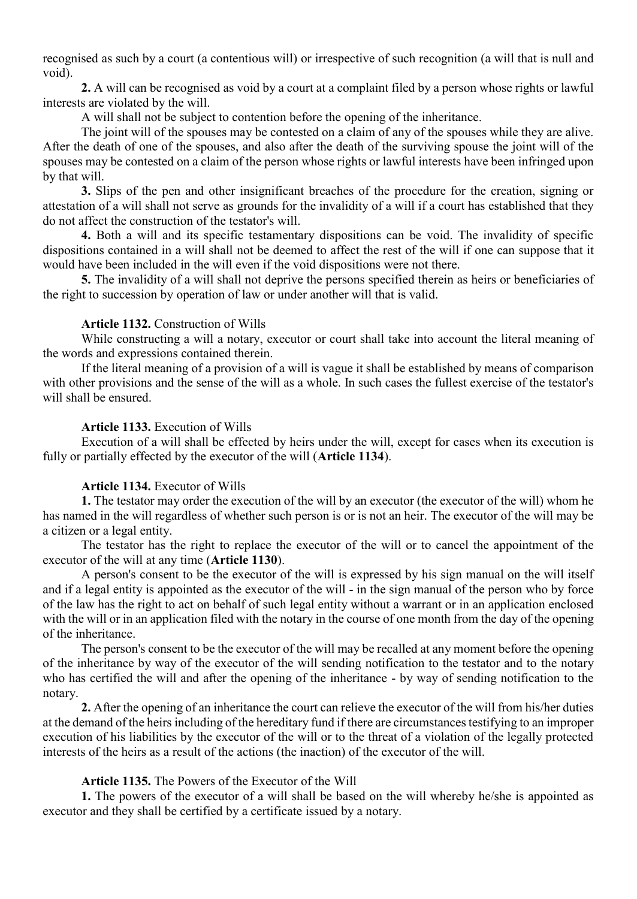recognised as such by a court (a contentious will) or irrespective of such recognition (a will that is null and void).

**2.** A will can be recognised as void by a court at a complaint filed by a person whose rights or lawful interests are violated by the will.

A will shall not be subject to contention before the opening of the inheritance.

The joint will of the spouses may be contested on a claim of any of the spouses while they are alive. After the death of one of the spouses, and also after the death of the surviving spouse the joint will of the spouses may be contested on a claim of the person whose rights or lawful interests have been infringed upon by that will.

**3.** Slips of the pen and other insignificant breaches of the procedure for the creation, signing or attestation of a will shall not serve as grounds for the invalidity of a will if a court has established that they do not affect the construction of the testator's will.

**4.** Both a will and its specific testamentary dispositions can be void. The invalidity of specific dispositions contained in a will shall not be deemed to affect the rest of the will if one can suppose that it would have been included in the will even if the void dispositions were not there.

**5.** The invalidity of a will shall not deprive the persons specified therein as heirs or beneficiaries of the right to succession by operation of law or under another will that is valid.

# **Article 1132.** Construction of Wills

While constructing a will a notary, executor or court shall take into account the literal meaning of the words and expressions contained therein.

If the literal meaning of a provision of a will is vague it shall be established by means of comparison with other provisions and the sense of the will as a whole. In such cases the fullest exercise of the testator's will shall be ensured.

# **Article 1133.** Execution of Wills

Execution of a will shall be effected by heirs under the will, except for cases when its execution is fully or partially effected by the executor of the will (**Article 1134**).

### **Article 1134.** Executor of Wills

**1.** The testator may order the execution of the will by an executor (the executor of the will) whom he has named in the will regardless of whether such person is or is not an heir. The executor of the will may be a citizen or a legal entity.

The testator has the right to replace the executor of the will or to cancel the appointment of the executor of the will at any time (**Article 1130**).

A person's consent to be the executor of the will is expressed by his sign manual on the will itself and if a legal entity is appointed as the executor of the will - in the sign manual of the person who by force of the law has the right to act on behalf of such legal entity without a warrant or in an application enclosed with the will or in an application filed with the notary in the course of one month from the day of the opening of the inheritance.

The person's consent to be the executor of the will may be recalled at any moment before the opening of the inheritance by way of the executor of the will sending notification to the testator and to the notary who has certified the will and after the opening of the inheritance - by way of sending notification to the notary.

**2.** After the opening of an inheritance the court can relieve the executor of the will from his/her duties at the demand of the heirs including of the hereditary fund if there are circumstances testifying to an improper execution of his liabilities by the executor of the will or to the threat of a violation of the legally protected interests of the heirs as a result of the actions (the inaction) of the executor of the will.

# **Article 1135.** The Powers of the Executor of the Will

**1.** The powers of the executor of a will shall be based on the will whereby he/she is appointed as executor and they shall be certified by a certificate issued by a notary.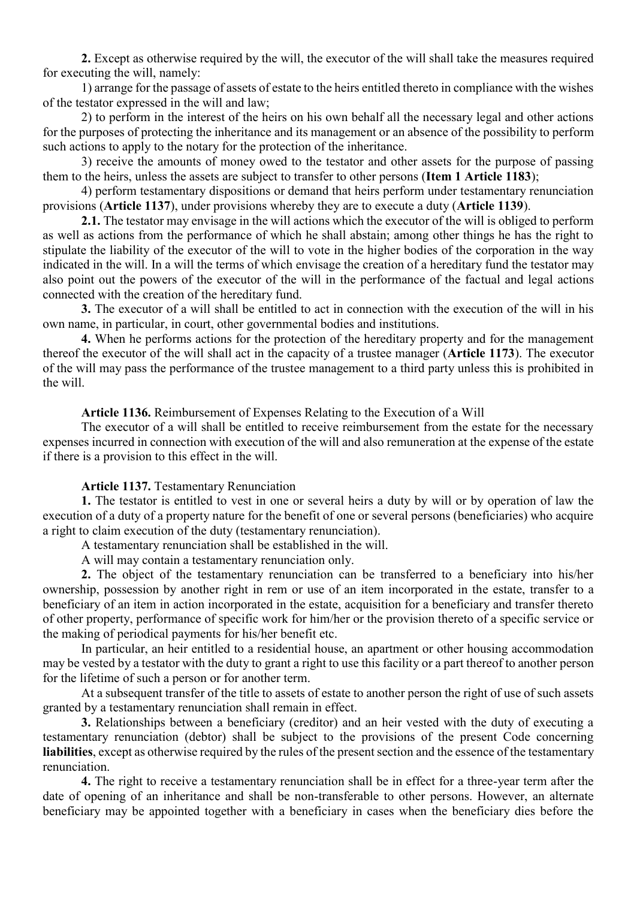**2.** Except as otherwise required by the will, the executor of the will shall take the measures required for executing the will, namely:

1) arrange for the passage of assets of estate to the heirs entitled thereto in compliance with the wishes of the testator expressed in the will and law;

2) to perform in the interest of the heirs on his own behalf all the necessary legal and other actions for the purposes of protecting the inheritance and its management or an absence of the possibility to perform such actions to apply to the notary for the protection of the inheritance.

3) receive the amounts of money owed to the testator and other assets for the purpose of passing them to the heirs, unless the assets are subject to transfer to other persons (**Item 1 Article 1183**);

4) perform testamentary dispositions or demand that heirs perform under testamentary renunciation provisions (**Article 1137**), under provisions whereby they are to execute a duty (**Article 1139**).

**2.1.** The testator may envisage in the will actions which the executor of the will is obliged to perform as well as actions from the performance of which he shall abstain; among other things he has the right to stipulate the liability of the executor of the will to vote in the higher bodies of the corporation in the way indicated in the will. In a will the terms of which envisage the creation of a hereditary fund the testator may also point out the powers of the executor of the will in the performance of the factual and legal actions connected with the creation of the hereditary fund.

**3.** The executor of a will shall be entitled to act in connection with the execution of the will in his own name, in particular, in court, other governmental bodies and institutions.

**4.** When he performs actions for the protection of the hereditary property and for the management thereof the executor of the will shall act in the capacity of a trustee manager (**Article 1173**). The executor of the will may pass the performance of the trustee management to a third party unless this is prohibited in the will.

**Article 1136.** Reimbursement of Expenses Relating to the Execution of a Will

The executor of a will shall be entitled to receive reimbursement from the estate for the necessary expenses incurred in connection with execution of the will and also remuneration at the expense of the estate if there is a provision to this effect in the will.

### **Article 1137.** Testamentary Renunciation

**1.** The testator is entitled to vest in one or several heirs a duty by will or by operation of law the execution of a duty of a property nature for the benefit of one or several persons (beneficiaries) who acquire a right to claim execution of the duty (testamentary renunciation).

A testamentary renunciation shall be established in the will.

A will may contain a testamentary renunciation only.

**2.** The object of the testamentary renunciation can be transferred to a beneficiary into his/her ownership, possession by another right in rem or use of an item incorporated in the estate, transfer to a beneficiary of an item in action incorporated in the estate, acquisition for a beneficiary and transfer thereto of other property, performance of specific work for him/her or the provision thereto of a specific service or the making of periodical payments for his/her benefit etc.

In particular, an heir entitled to a residential house, an apartment or other housing accommodation may be vested by a testator with the duty to grant a right to use this facility or a part thereof to another person for the lifetime of such a person or for another term.

At a subsequent transfer of the title to assets of estate to another person the right of use of such assets granted by a testamentary renunciation shall remain in effect.

**3.** Relationships between a beneficiary (creditor) and an heir vested with the duty of executing a testamentary renunciation (debtor) shall be subject to the provisions of the present Code concerning **liabilities**, except as otherwise required by the rules of the present section and the essence of the testamentary renunciation.

**4.** The right to receive a testamentary renunciation shall be in effect for a three-year term after the date of opening of an inheritance and shall be non-transferable to other persons. However, an alternate beneficiary may be appointed together with a beneficiary in cases when the beneficiary dies before the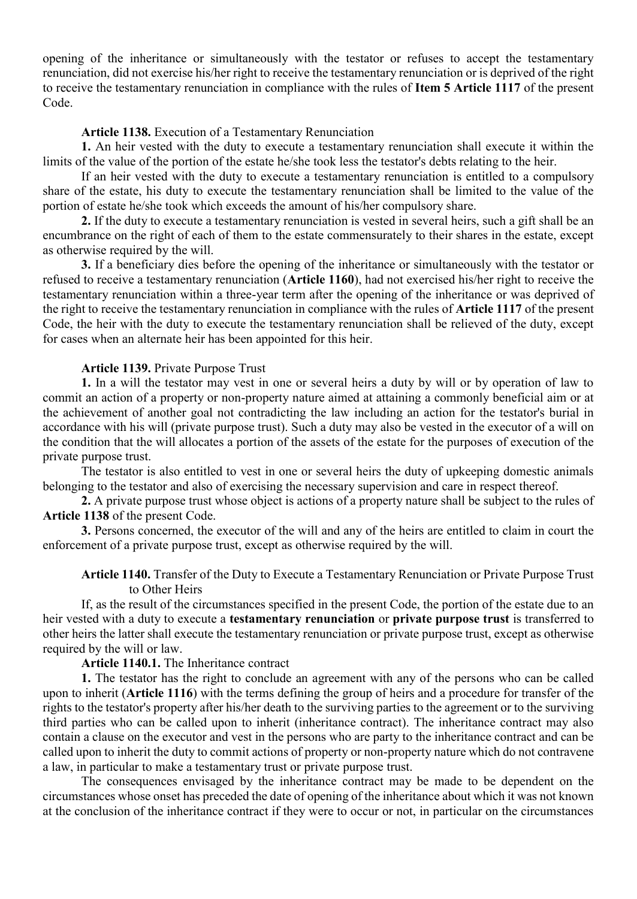opening of the inheritance or simultaneously with the testator or refuses to accept the testamentary renunciation, did not exercise his/her right to receive the testamentary renunciation or is deprived of the right to receive the testamentary renunciation in compliance with the rules of **Item 5 Article 1117** of the present Code.

#### **Article 1138.** Execution of a Testamentary Renunciation

**1.** An heir vested with the duty to execute a testamentary renunciation shall execute it within the limits of the value of the portion of the estate he/she took less the testator's debts relating to the heir.

If an heir vested with the duty to execute a testamentary renunciation is entitled to a compulsory share of the estate, his duty to execute the testamentary renunciation shall be limited to the value of the portion of estate he/she took which exceeds the amount of his/her compulsory share.

**2.** If the duty to execute a testamentary renunciation is vested in several heirs, such a gift shall be an encumbrance on the right of each of them to the estate commensurately to their shares in the estate, except as otherwise required by the will.

**3.** If a beneficiary dies before the opening of the inheritance or simultaneously with the testator or refused to receive a testamentary renunciation (**Article 1160**), had not exercised his/her right to receive the testamentary renunciation within a three-year term after the opening of the inheritance or was deprived of the right to receive the testamentary renunciation in compliance with the rules of **Article 1117** of the present Code, the heir with the duty to execute the testamentary renunciation shall be relieved of the duty, except for cases when an alternate heir has been appointed for this heir.

#### **Article 1139.** Private Purpose Trust

**1.** In a will the testator may vest in one or several heirs a duty by will or by operation of law to commit an action of a property or non-property nature aimed at attaining a commonly beneficial aim or at the achievement of another goal not contradicting the law including an action for the testator's burial in accordance with his will (private purpose trust). Such a duty may also be vested in the executor of a will on the condition that the will allocates a portion of the assets of the estate for the purposes of execution of the private purpose trust.

The testator is also entitled to vest in one or several heirs the duty of upkeeping domestic animals belonging to the testator and also of exercising the necessary supervision and care in respect thereof.

**2.** A private purpose trust whose object is actions of a property nature shall be subject to the rules of **Article 1138** of the present Code.

**3.** Persons concerned, the executor of the will and any of the heirs are entitled to claim in court the enforcement of a private purpose trust, except as otherwise required by the will.

# **Article 1140.** Transfer of the Duty to Execute a Testamentary Renunciation or Private Purpose Trust to Other Heirs

If, as the result of the circumstances specified in the present Code, the portion of the estate due to an heir vested with a duty to execute a **testamentary renunciation** or **private purpose trust** is transferred to other heirs the latter shall execute the testamentary renunciation or private purpose trust, except as otherwise required by the will or law.

### **Article 1140.1.** The Inheritance contract

**1.** The testator has the right to conclude an agreement with any of the persons who can be called upon to inherit (**Article 1116**) with the terms defining the group of heirs and a procedure for transfer of the rights to the testator's property after his/her death to the surviving parties to the agreement or to the surviving third parties who can be called upon to inherit (inheritance contract). The inheritance contract may also contain a clause on the executor and vest in the persons who are party to the inheritance contract and can be called upon to inherit the duty to commit actions of property or non-property nature which do not contravene a law, in particular to make a testamentary trust or private purpose trust.

The consequences envisaged by the inheritance contract may be made to be dependent on the circumstances whose onset has preceded the date of opening of the inheritance about which it was not known at the conclusion of the inheritance contract if they were to occur or not, in particular on the circumstances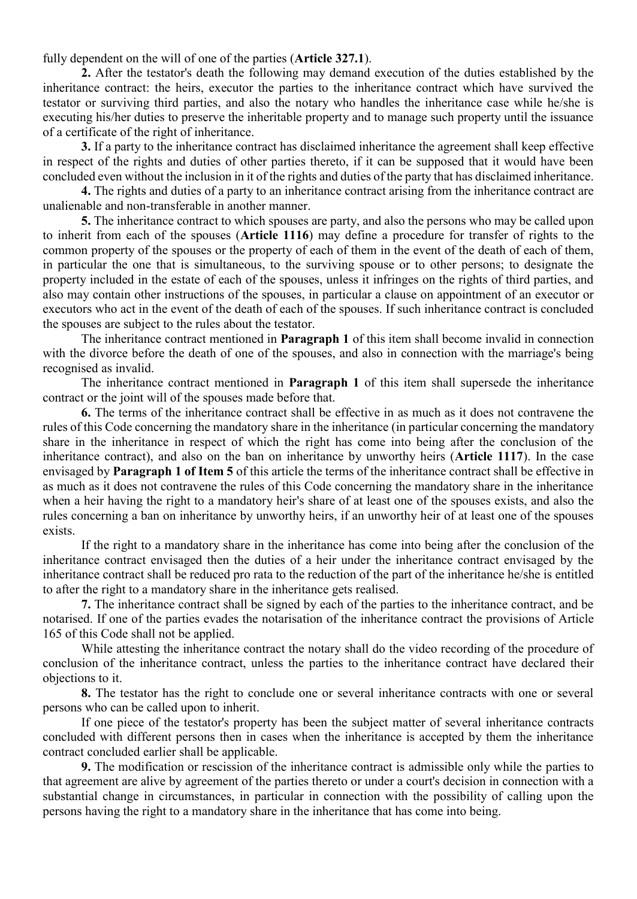fully dependent on the will of one of the parties (**Article 327.1**).

**2.** After the testator's death the following may demand execution of the duties established by the inheritance contract: the heirs, executor the parties to the inheritance contract which have survived the testator or surviving third parties, and also the notary who handles the inheritance case while he/she is executing his/her duties to preserve the inheritable property and to manage such property until the issuance of a certificate of the right of inheritance.

**3.** If a party to the inheritance contract has disclaimed inheritance the agreement shall keep effective in respect of the rights and duties of other parties thereto, if it can be supposed that it would have been concluded even without the inclusion in it of the rights and duties of the party that has disclaimed inheritance.

**4.** The rights and duties of a party to an inheritance contract arising from the inheritance contract are unalienable and non-transferable in another manner.

**5.** The inheritance contract to which spouses are party, and also the persons who may be called upon to inherit from each of the spouses (**Article 1116**) may define a procedure for transfer of rights to the common property of the spouses or the property of each of them in the event of the death of each of them, in particular the one that is simultaneous, to the surviving spouse or to other persons; to designate the property included in the estate of each of the spouses, unless it infringes on the rights of third parties, and also may contain other instructions of the spouses, in particular a clause on appointment of an executor or executors who act in the event of the death of each of the spouses. If such inheritance contract is concluded the spouses are subject to the rules about the testator.

The inheritance contract mentioned in **Paragraph 1** of this item shall become invalid in connection with the divorce before the death of one of the spouses, and also in connection with the marriage's being recognised as invalid.

The inheritance contract mentioned in **Paragraph 1** of this item shall supersede the inheritance contract or the joint will of the spouses made before that.

**6.** The terms of the inheritance contract shall be effective in as much as it does not contravene the rules of this Code concerning the mandatory share in the inheritance (in particular concerning the mandatory share in the inheritance in respect of which the right has come into being after the conclusion of the inheritance contract), and also on the ban on inheritance by unworthy heirs (**Article 1117**). In the case envisaged by **Paragraph 1 of Item 5** of this article the terms of the inheritance contract shall be effective in as much as it does not contravene the rules of this Code concerning the mandatory share in the inheritance when a heir having the right to a mandatory heir's share of at least one of the spouses exists, and also the rules concerning a ban on inheritance by unworthy heirs, if an unworthy heir of at least one of the spouses exists.

If the right to a mandatory share in the inheritance has come into being after the conclusion of the inheritance contract envisaged then the duties of a heir under the inheritance contract envisaged by the inheritance contract shall be reduced pro rata to the reduction of the part of the inheritance he/she is entitled to after the right to a mandatory share in the inheritance gets realised.

**7.** The inheritance contract shall be signed by each of the parties to the inheritance contract, and be notarised. If one of the parties evades the notarisation of the inheritance contract the provisions of Article 165 of this Code shall not be applied.

While attesting the inheritance contract the notary shall do the video recording of the procedure of conclusion of the inheritance contract, unless the parties to the inheritance contract have declared their objections to it.

**8.** The testator has the right to conclude one or several inheritance contracts with one or several persons who can be called upon to inherit.

If one piece of the testator's property has been the subject matter of several inheritance contracts concluded with different persons then in cases when the inheritance is accepted by them the inheritance contract concluded earlier shall be applicable.

**9.** The modification or rescission of the inheritance contract is admissible only while the parties to that agreement are alive by agreement of the parties thereto or under a court's decision in connection with a substantial change in circumstances, in particular in connection with the possibility of calling upon the persons having the right to a mandatory share in the inheritance that has come into being.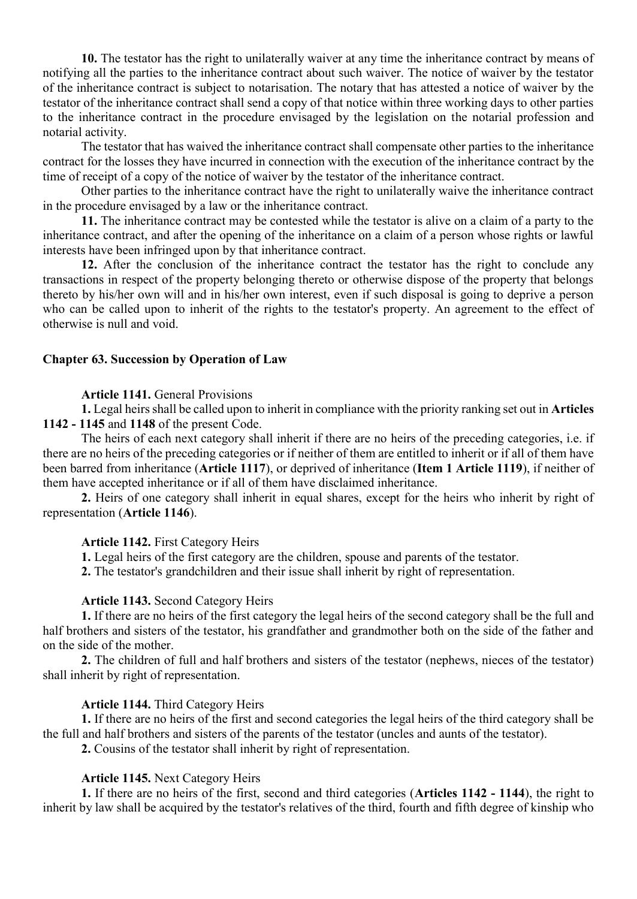**10.** The testator has the right to unilaterally waiver at any time the inheritance contract by means of notifying all the parties to the inheritance contract about such waiver. The notice of waiver by the testator of the inheritance contract is subject to notarisation. The notary that has attested a notice of waiver by the testator of the inheritance contract shall send a copy of that notice within three working days to other parties to the inheritance contract in the procedure envisaged by the legislation on the notarial profession and notarial activity.

The testator that has waived the inheritance contract shall compensate other parties to the inheritance contract for the losses they have incurred in connection with the execution of the inheritance contract by the time of receipt of a copy of the notice of waiver by the testator of the inheritance contract.

Other parties to the inheritance contract have the right to unilaterally waive the inheritance contract in the procedure envisaged by a law or the inheritance contract.

**11.** The inheritance contract may be contested while the testator is alive on a claim of a party to the inheritance contract, and after the opening of the inheritance on a claim of a person whose rights or lawful interests have been infringed upon by that inheritance contract.

**12.** After the conclusion of the inheritance contract the testator has the right to conclude any transactions in respect of the property belonging thereto or otherwise dispose of the property that belongs thereto by his/her own will and in his/her own interest, even if such disposal is going to deprive a person who can be called upon to inherit of the rights to the testator's property. An agreement to the effect of otherwise is null and void.

#### **Chapter 63. Succession by Operation of Law**

#### **Article 1141.** General Provisions

**1.** Legal heirs shall be called upon to inherit in compliance with the priority ranking set out in **Articles 1142 - 1145** and **1148** of the present Code.

The heirs of each next category shall inherit if there are no heirs of the preceding categories, i.e. if there are no heirs of the preceding categories or if neither of them are entitled to inherit or if all of them have been barred from inheritance (**Article 1117**), or deprived of inheritance (**Item 1 Article 1119**), if neither of them have accepted inheritance or if all of them have disclaimed inheritance.

**2.** Heirs of one category shall inherit in equal shares, except for the heirs who inherit by right of representation (**Article 1146**).

#### **Article 1142.** First Category Heirs

**1.** Legal heirs of the first category are the children, spouse and parents of the testator.

**2.** The testator's grandchildren and their issue shall inherit by right of representation.

#### **Article 1143.** Second Category Heirs

**1.** If there are no heirs of the first category the legal heirs of the second category shall be the full and half brothers and sisters of the testator, his grandfather and grandmother both on the side of the father and on the side of the mother.

**2.** The children of full and half brothers and sisters of the testator (nephews, nieces of the testator) shall inherit by right of representation.

### **Article 1144.** Third Category Heirs

**1.** If there are no heirs of the first and second categories the legal heirs of the third category shall be the full and half brothers and sisters of the parents of the testator (uncles and aunts of the testator).

**2.** Cousins of the testator shall inherit by right of representation.

### **Article 1145.** Next Category Heirs

**1.** If there are no heirs of the first, second and third categories (**Articles 1142 - 1144**), the right to inherit by law shall be acquired by the testator's relatives of the third, fourth and fifth degree of kinship who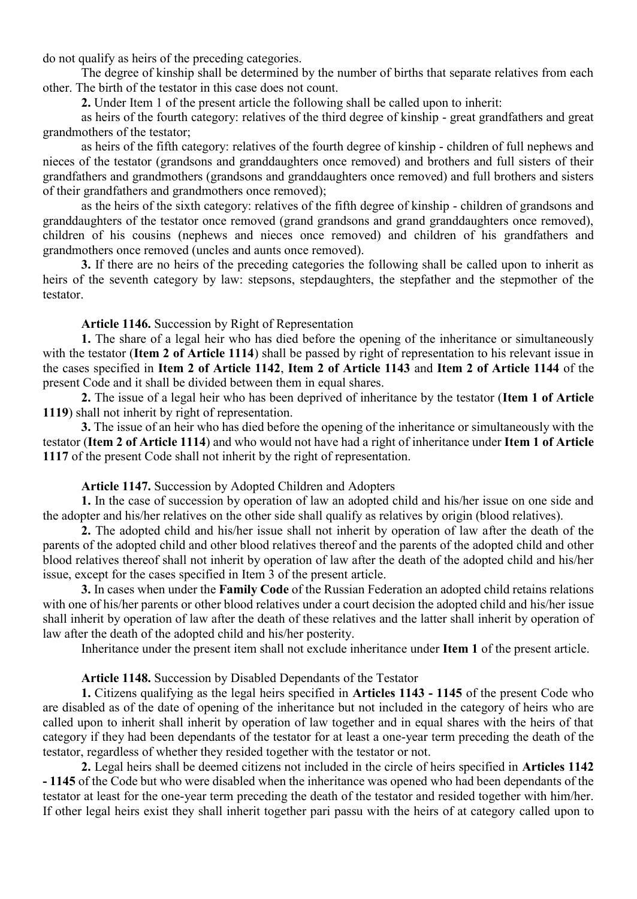do not qualify as heirs of the preceding categories.

The degree of kinship shall be determined by the number of births that separate relatives from each other. The birth of the testator in this case does not count.

**2.** Under Item 1 of the present article the following shall be called upon to inherit:

as heirs of the fourth category: relatives of the third degree of kinship - great grandfathers and great grandmothers of the testator;

as heirs of the fifth category: relatives of the fourth degree of kinship - children of full nephews and nieces of the testator (grandsons and granddaughters once removed) and brothers and full sisters of their grandfathers and grandmothers (grandsons and granddaughters once removed) and full brothers and sisters of their grandfathers and grandmothers once removed);

as the heirs of the sixth category: relatives of the fifth degree of kinship - children of grandsons and granddaughters of the testator once removed (grand grandsons and grand granddaughters once removed), children of his cousins (nephews and nieces once removed) and children of his grandfathers and grandmothers once removed (uncles and aunts once removed).

**3.** If there are no heirs of the preceding categories the following shall be called upon to inherit as heirs of the seventh category by law: stepsons, stepdaughters, the stepfather and the stepmother of the testator.

### **Article 1146.** Succession by Right of Representation

**1.** The share of a legal heir who has died before the opening of the inheritance or simultaneously with the testator (**Item 2 of Article 1114**) shall be passed by right of representation to his relevant issue in the cases specified in **Item 2 of Article 1142**, **Item 2 of Article 1143** and **Item 2 of Article 1144** of the present Code and it shall be divided between them in equal shares.

**2.** The issue of a legal heir who has been deprived of inheritance by the testator (**Item 1 of Article 1119**) shall not inherit by right of representation.

**3.** The issue of an heir who has died before the opening of the inheritance or simultaneously with the testator (**Item 2 of Article 1114**) and who would not have had a right of inheritance under **Item 1 of Article 1117** of the present Code shall not inherit by the right of representation.

### **Article 1147.** Succession by Adopted Children and Adopters

**1.** In the case of succession by operation of law an adopted child and his/her issue on one side and the adopter and his/her relatives on the other side shall qualify as relatives by origin (blood relatives).

**2.** The adopted child and his/her issue shall not inherit by operation of law after the death of the parents of the adopted child and other blood relatives thereof and the parents of the adopted child and other blood relatives thereof shall not inherit by operation of law after the death of the adopted child and his/her issue, except for the cases specified in Item 3 of the present article.

**3.** In cases when under the **Family Code** of the Russian Federation an adopted child retains relations with one of his/her parents or other blood relatives under a court decision the adopted child and his/her issue shall inherit by operation of law after the death of these relatives and the latter shall inherit by operation of law after the death of the adopted child and his/her posterity.

Inheritance under the present item shall not exclude inheritance under **Item 1** of the present article.

### **Article 1148.** Succession by Disabled Dependants of the Testator

**1.** Citizens qualifying as the legal heirs specified in **Articles 1143 - 1145** of the present Code who are disabled as of the date of opening of the inheritance but not included in the category of heirs who are called upon to inherit shall inherit by operation of law together and in equal shares with the heirs of that category if they had been dependants of the testator for at least a one-year term preceding the death of the testator, regardless of whether they resided together with the testator or not.

**2.** Legal heirs shall be deemed citizens not included in the circle of heirs specified in **Articles 1142 - 1145** of the Code but who were disabled when the inheritance was opened who had been dependants of the testator at least for the one-year term preceding the death of the testator and resided together with him/her. If other legal heirs exist they shall inherit together pari passu with the heirs of at category called upon to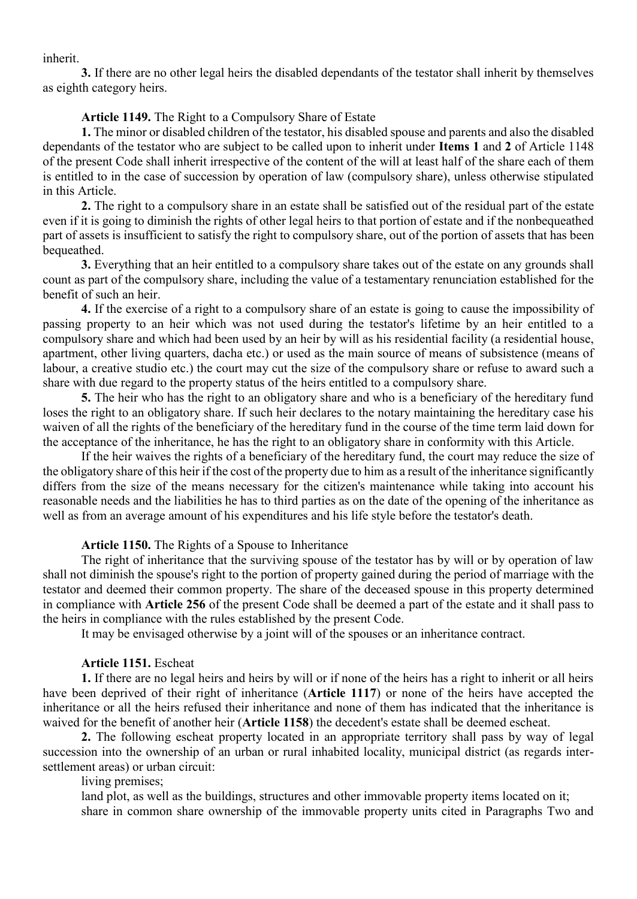inherit.

**3.** If there are no other legal heirs the disabled dependants of the testator shall inherit by themselves as eighth category heirs.

#### **Article 1149.** The Right to a Compulsory Share of Estate

**1.** The minor or disabled children of the testator, his disabled spouse and parents and also the disabled dependants of the testator who are subject to be called upon to inherit under **Items 1** and **2** of Article 1148 of the present Code shall inherit irrespective of the content of the will at least half of the share each of them is entitled to in the case of succession by operation of law (compulsory share), unless otherwise stipulated in this Article.

**2.** The right to a compulsory share in an estate shall be satisfied out of the residual part of the estate even if it is going to diminish the rights of other legal heirs to that portion of estate and if the nonbequeathed part of assets is insufficient to satisfy the right to compulsory share, out of the portion of assets that has been bequeathed.

**3.** Everything that an heir entitled to a compulsory share takes out of the estate on any grounds shall count as part of the compulsory share, including the value of a testamentary renunciation established for the benefit of such an heir.

**4.** If the exercise of a right to a compulsory share of an estate is going to cause the impossibility of passing property to an heir which was not used during the testator's lifetime by an heir entitled to a compulsory share and which had been used by an heir by will as his residential facility (a residential house, apartment, other living quarters, dacha etc.) or used as the main source of means of subsistence (means of labour, a creative studio etc.) the court may cut the size of the compulsory share or refuse to award such a share with due regard to the property status of the heirs entitled to a compulsory share.

**5.** The heir who has the right to an obligatory share and who is a beneficiary of the hereditary fund loses the right to an obligatory share. If such heir declares to the notary maintaining the hereditary case his waiven of all the rights of the beneficiary of the hereditary fund in the course of the time term laid down for the acceptance of the inheritance, he has the right to an obligatory share in conformity with this Article.

If the heir waives the rights of a beneficiary of the hereditary fund, the court may reduce the size of the obligatory share of this heir if the cost of the property due to him as a result of the inheritance significantly differs from the size of the means necessary for the citizen's maintenance while taking into account his reasonable needs and the liabilities he has to third parties as on the date of the opening of the inheritance as well as from an average amount of his expenditures and his life style before the testator's death.

### **Article 1150.** The Rights of a Spouse to Inheritance

The right of inheritance that the surviving spouse of the testator has by will or by operation of law shall not diminish the spouse's right to the portion of property gained during the period of marriage with the testator and deemed their common property. The share of the deceased spouse in this property determined in compliance with **Article 256** of the present Code shall be deemed a part of the estate and it shall pass to the heirs in compliance with the rules established by the present Code.

It may be envisaged otherwise by a joint will of the spouses or an inheritance contract.

#### **Article 1151.** Escheat

**1.** If there are no legal heirs and heirs by will or if none of the heirs has a right to inherit or all heirs have been deprived of their right of inheritance (**Article 1117**) or none of the heirs have accepted the inheritance or all the heirs refused their inheritance and none of them has indicated that the inheritance is waived for the benefit of another heir (**Article 1158**) the decedent's estate shall be deemed escheat.

**2.** The following escheat property located in an appropriate territory shall pass by way of legal succession into the ownership of an urban or rural inhabited locality, municipal district (as regards intersettlement areas) or urban circuit:

# living premises;

land plot, as well as the buildings, structures and other immovable property items located on it; share in common share ownership of the immovable property units cited in Paragraphs Two and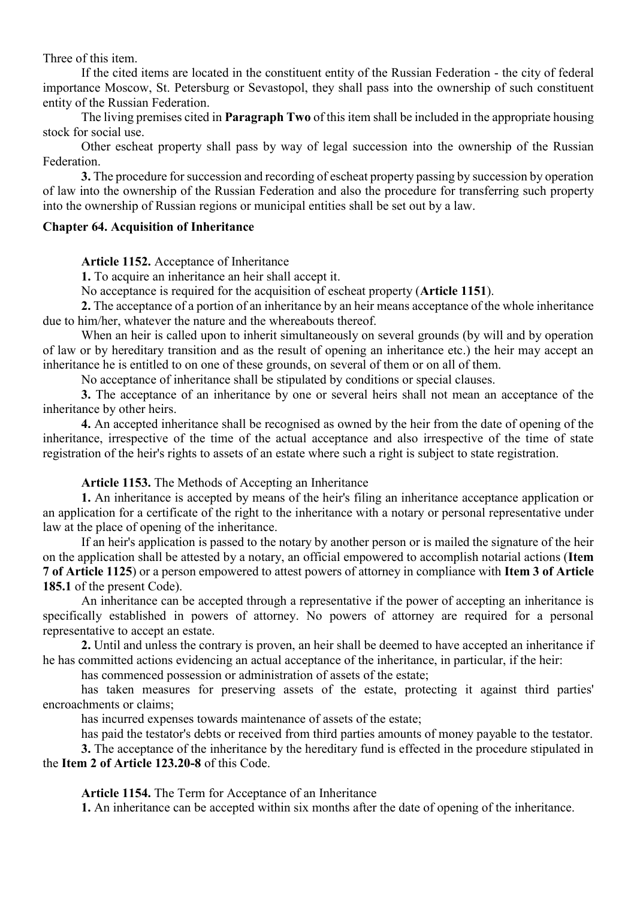Three of this item.

If the cited items are located in the constituent entity of the Russian Federation - the city of federal importance Moscow, St. Petersburg or Sevastopol, they shall pass into the ownership of such constituent entity of the Russian Federation.

The living premises cited in **Paragraph Two** of this item shall be included in the appropriate housing stock for social use.

Other escheat property shall pass by way of legal succession into the ownership of the Russian Federation.

**3.** The procedure for succession and recording of escheat property passing by succession by operation of law into the ownership of the Russian Federation and also the procedure for transferring such property into the ownership of Russian regions or municipal entities shall be set out by a law.

#### **Chapter 64. Acquisition of Inheritance**

**Article 1152.** Acceptance of Inheritance

**1.** To acquire an inheritance an heir shall accept it.

No acceptance is required for the acquisition of escheat property (**Article 1151**).

**2.** The acceptance of a portion of an inheritance by an heir means acceptance of the whole inheritance due to him/her, whatever the nature and the whereabouts thereof.

When an heir is called upon to inherit simultaneously on several grounds (by will and by operation of law or by hereditary transition and as the result of opening an inheritance etc.) the heir may accept an inheritance he is entitled to on one of these grounds, on several of them or on all of them.

No acceptance of inheritance shall be stipulated by conditions or special clauses.

**3.** The acceptance of an inheritance by one or several heirs shall not mean an acceptance of the inheritance by other heirs.

**4.** An accepted inheritance shall be recognised as owned by the heir from the date of opening of the inheritance, irrespective of the time of the actual acceptance and also irrespective of the time of state registration of the heir's rights to assets of an estate where such a right is subject to state registration.

**Article 1153.** The Methods of Accepting an Inheritance

**1.** An inheritance is accepted by means of the heir's filing an inheritance acceptance application or an application for a certificate of the right to the inheritance with a notary or personal representative under law at the place of opening of the inheritance.

If an heir's application is passed to the notary by another person or is mailed the signature of the heir on the application shall be attested by a notary, an official empowered to accomplish notarial actions (**Item 7 of Article 1125**) or a person empowered to attest powers of attorney in compliance with **Item 3 of Article 185.1** of the present Code).

An inheritance can be accepted through a representative if the power of accepting an inheritance is specifically established in powers of attorney. No powers of attorney are required for a personal representative to accept an estate.

**2.** Until and unless the contrary is proven, an heir shall be deemed to have accepted an inheritance if he has committed actions evidencing an actual acceptance of the inheritance, in particular, if the heir:

has commenced possession or administration of assets of the estate;

has taken measures for preserving assets of the estate, protecting it against third parties' encroachments or claims;

has incurred expenses towards maintenance of assets of the estate;

has paid the testator's debts or received from third parties amounts of money payable to the testator.

**3.** The acceptance of the inheritance by the hereditary fund is effected in the procedure stipulated in the **Item 2 of Article 123.20-8** of this Code.

**Article 1154.** The Term for Acceptance of an Inheritance

**1.** An inheritance can be accepted within six months after the date of opening of the inheritance.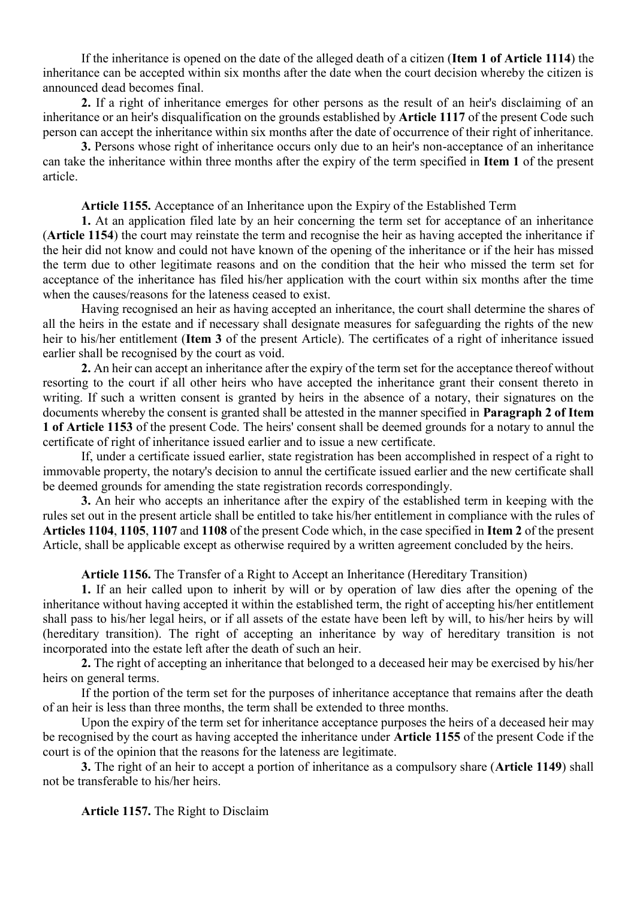If the inheritance is opened on the date of the alleged death of a citizen (**Item 1 of Article 1114**) the inheritance can be accepted within six months after the date when the court decision whereby the citizen is announced dead becomes final.

**2.** If a right of inheritance emerges for other persons as the result of an heir's disclaiming of an inheritance or an heir's disqualification on the grounds established by **Article 1117** of the present Code such person can accept the inheritance within six months after the date of occurrence of their right of inheritance.

**3.** Persons whose right of inheritance occurs only due to an heir's non-acceptance of an inheritance can take the inheritance within three months after the expiry of the term specified in **Item 1** of the present article.

**Article 1155.** Acceptance of an Inheritance upon the Expiry of the Established Term

**1.** At an application filed late by an heir concerning the term set for acceptance of an inheritance (**Article 1154**) the court may reinstate the term and recognise the heir as having accepted the inheritance if the heir did not know and could not have known of the opening of the inheritance or if the heir has missed the term due to other legitimate reasons and on the condition that the heir who missed the term set for acceptance of the inheritance has filed his/her application with the court within six months after the time when the causes/reasons for the lateness ceased to exist.

Having recognised an heir as having accepted an inheritance, the court shall determine the shares of all the heirs in the estate and if necessary shall designate measures for safeguarding the rights of the new heir to his/her entitlement (**Item 3** of the present Article). The certificates of a right of inheritance issued earlier shall be recognised by the court as void.

**2.** An heir can accept an inheritance after the expiry of the term set for the acceptance thereof without resorting to the court if all other heirs who have accepted the inheritance grant their consent thereto in writing. If such a written consent is granted by heirs in the absence of a notary, their signatures on the documents whereby the consent is granted shall be attested in the manner specified in **Paragraph 2 of Item 1 of Article 1153** of the present Code. The heirs' consent shall be deemed grounds for a notary to annul the certificate of right of inheritance issued earlier and to issue a new certificate.

If, under a certificate issued earlier, state registration has been accomplished in respect of a right to immovable property, the notary's decision to annul the certificate issued earlier and the new certificate shall be deemed grounds for amending the state registration records correspondingly.

**3.** An heir who accepts an inheritance after the expiry of the established term in keeping with the rules set out in the present article shall be entitled to take his/her entitlement in compliance with the rules of **Articles 1104**, **1105**, **1107** and **1108** of the present Code which, in the case specified in **Item 2** of the present Article, shall be applicable except as otherwise required by a written agreement concluded by the heirs.

**Article 1156.** The Transfer of a Right to Accept an Inheritance (Hereditary Transition)

**1.** If an heir called upon to inherit by will or by operation of law dies after the opening of the inheritance without having accepted it within the established term, the right of accepting his/her entitlement shall pass to his/her legal heirs, or if all assets of the estate have been left by will, to his/her heirs by will (hereditary transition). The right of accepting an inheritance by way of hereditary transition is not incorporated into the estate left after the death of such an heir.

**2.** The right of accepting an inheritance that belonged to a deceased heir may be exercised by his/her heirs on general terms.

If the portion of the term set for the purposes of inheritance acceptance that remains after the death of an heir is less than three months, the term shall be extended to three months.

Upon the expiry of the term set for inheritance acceptance purposes the heirs of a deceased heir may be recognised by the court as having accepted the inheritance under **Article 1155** of the present Code if the court is of the opinion that the reasons for the lateness are legitimate.

**3.** The right of an heir to accept a portion of inheritance as a compulsory share (**Article 1149**) shall not be transferable to his/her heirs.

**Article 1157.** The Right to Disclaim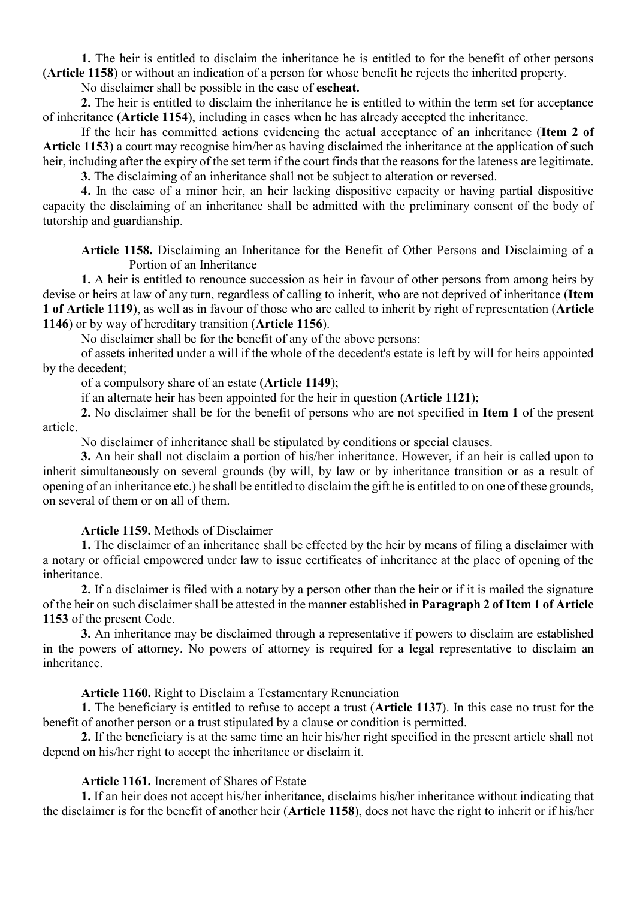**1.** The heir is entitled to disclaim the inheritance he is entitled to for the benefit of other persons (**Article 1158**) or without an indication of a person for whose benefit he rejects the inherited property.

No disclaimer shall be possible in the case of **escheat.**

**2.** The heir is entitled to disclaim the inheritance he is entitled to within the term set for acceptance of inheritance (**Article 1154**), including in cases when he has already accepted the inheritance.

If the heir has committed actions evidencing the actual acceptance of an inheritance (**Item 2 of Article 1153**) a court may recognise him/her as having disclaimed the inheritance at the application of such heir, including after the expiry of the set term if the court finds that the reasons for the lateness are legitimate.

**3.** The disclaiming of an inheritance shall not be subject to alteration or reversed.

**4.** In the case of a minor heir, an heir lacking dispositive capacity or having partial dispositive capacity the disclaiming of an inheritance shall be admitted with the preliminary consent of the body of tutorship and guardianship.

**Article 1158.** Disclaiming an Inheritance for the Benefit of Other Persons and Disclaiming of a Portion of an Inheritance

**1.** A heir is entitled to renounce succession as heir in favour of other persons from among heirs by devise or heirs at law of any turn, regardless of calling to inherit, who are not deprived of inheritance (**Item 1 of Article 1119**), as well as in favour of those who are called to inherit by right of representation (**Article 1146**) or by way of hereditary transition (**Article 1156**).

No disclaimer shall be for the benefit of any of the above persons:

of assets inherited under a will if the whole of the decedent's estate is left by will for heirs appointed by the decedent;

of a compulsory share of an estate (**Article 1149**);

if an alternate heir has been appointed for the heir in question (**Article 1121**);

**2.** No disclaimer shall be for the benefit of persons who are not specified in **Item 1** of the present article.

No disclaimer of inheritance shall be stipulated by conditions or special clauses.

**3.** An heir shall not disclaim a portion of his/her inheritance. However, if an heir is called upon to inherit simultaneously on several grounds (by will, by law or by inheritance transition or as a result of opening of an inheritance etc.) he shall be entitled to disclaim the gift he is entitled to on one of these grounds, on several of them or on all of them.

### **Article 1159.** Methods of Disclaimer

**1.** The disclaimer of an inheritance shall be effected by the heir by means of filing a disclaimer with a notary or official empowered under law to issue certificates of inheritance at the place of opening of the inheritance.

**2.** If a disclaimer is filed with a notary by a person other than the heir or if it is mailed the signature of the heir on such disclaimer shall be attested in the manner established in **Paragraph 2 of Item 1 of Article 1153** of the present Code.

**3.** An inheritance may be disclaimed through a representative if powers to disclaim are established in the powers of attorney. No powers of attorney is required for a legal representative to disclaim an inheritance.

**Article 1160.** Right to Disclaim a Testamentary Renunciation

**1.** The beneficiary is entitled to refuse to accept a trust (**Article 1137**). In this case no trust for the benefit of another person or a trust stipulated by a clause or condition is permitted.

**2.** If the beneficiary is at the same time an heir his/her right specified in the present article shall not depend on his/her right to accept the inheritance or disclaim it.

### **Article 1161.** Increment of Shares of Estate

**1.** If an heir does not accept his/her inheritance, disclaims his/her inheritance without indicating that the disclaimer is for the benefit of another heir (**Article 1158**), does not have the right to inherit or if his/her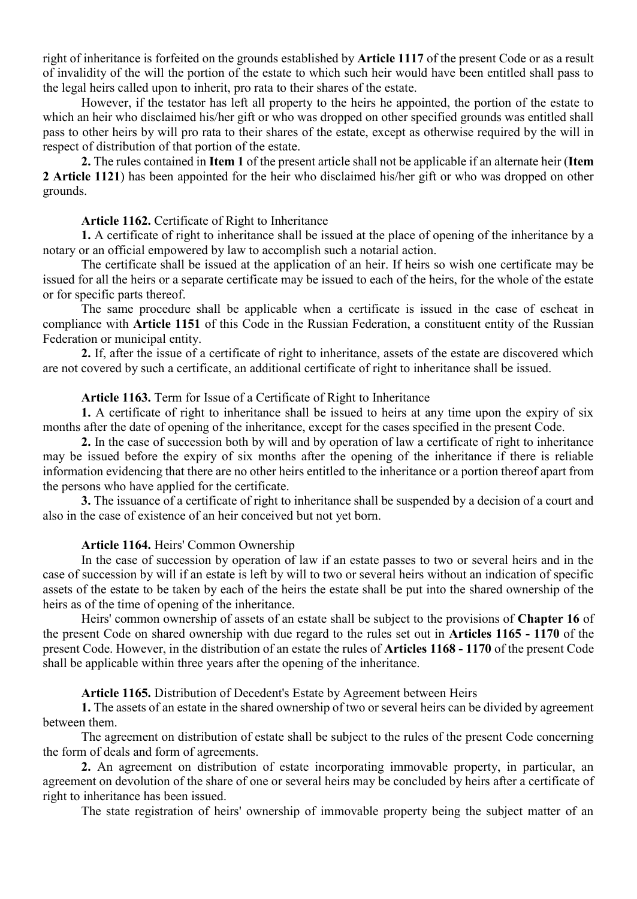right of inheritance is forfeited on the grounds established by **Article 1117** of the present Code or as a result of invalidity of the will the portion of the estate to which such heir would have been entitled shall pass to the legal heirs called upon to inherit, pro rata to their shares of the estate.

However, if the testator has left all property to the heirs he appointed, the portion of the estate to which an heir who disclaimed his/her gift or who was dropped on other specified grounds was entitled shall pass to other heirs by will pro rata to their shares of the estate, except as otherwise required by the will in respect of distribution of that portion of the estate.

**2.** The rules contained in **Item 1** of the present article shall not be applicable if an alternate heir (**Item 2 Article 1121**) has been appointed for the heir who disclaimed his/her gift or who was dropped on other grounds.

### **Article 1162.** Certificate of Right to Inheritance

**1.** A certificate of right to inheritance shall be issued at the place of opening of the inheritance by a notary or an official empowered by law to accomplish such a notarial action.

The certificate shall be issued at the application of an heir. If heirs so wish one certificate may be issued for all the heirs or a separate certificate may be issued to each of the heirs, for the whole of the estate or for specific parts thereof.

The same procedure shall be applicable when a certificate is issued in the case of escheat in compliance with **Article 1151** of this Code in the Russian Federation, a constituent entity of the Russian Federation or municipal entity.

**2.** If, after the issue of a certificate of right to inheritance, assets of the estate are discovered which are not covered by such a certificate, an additional certificate of right to inheritance shall be issued.

#### **Article 1163.** Term for Issue of a Certificate of Right to Inheritance

**1.** A certificate of right to inheritance shall be issued to heirs at any time upon the expiry of six months after the date of opening of the inheritance, except for the cases specified in the present Code.

**2.** In the case of succession both by will and by operation of law a certificate of right to inheritance may be issued before the expiry of six months after the opening of the inheritance if there is reliable information evidencing that there are no other heirs entitled to the inheritance or a portion thereof apart from the persons who have applied for the certificate.

**3.** The issuance of a certificate of right to inheritance shall be suspended by a decision of a court and also in the case of existence of an heir conceived but not yet born.

### **Article 1164.** Heirs' Common Ownership

In the case of succession by operation of law if an estate passes to two or several heirs and in the case of succession by will if an estate is left by will to two or several heirs without an indication of specific assets of the estate to be taken by each of the heirs the estate shall be put into the shared ownership of the heirs as of the time of opening of the inheritance.

Heirs' common ownership of assets of an estate shall be subject to the provisions of **Chapter 16** of the present Code on shared ownership with due regard to the rules set out in **Articles 1165 - 1170** of the present Code. However, in the distribution of an estate the rules of **Articles 1168 - 1170** of the present Code shall be applicable within three years after the opening of the inheritance.

**Article 1165.** Distribution of Decedent's Estate by Agreement between Heirs

**1.** The assets of an estate in the shared ownership of two or several heirs can be divided by agreement between them.

The agreement on distribution of estate shall be subject to the rules of the present Code concerning the form of deals and form of agreements.

**2.** An agreement on distribution of estate incorporating immovable property, in particular, an agreement on devolution of the share of one or several heirs may be concluded by heirs after a certificate of right to inheritance has been issued.

The state registration of heirs' ownership of immovable property being the subject matter of an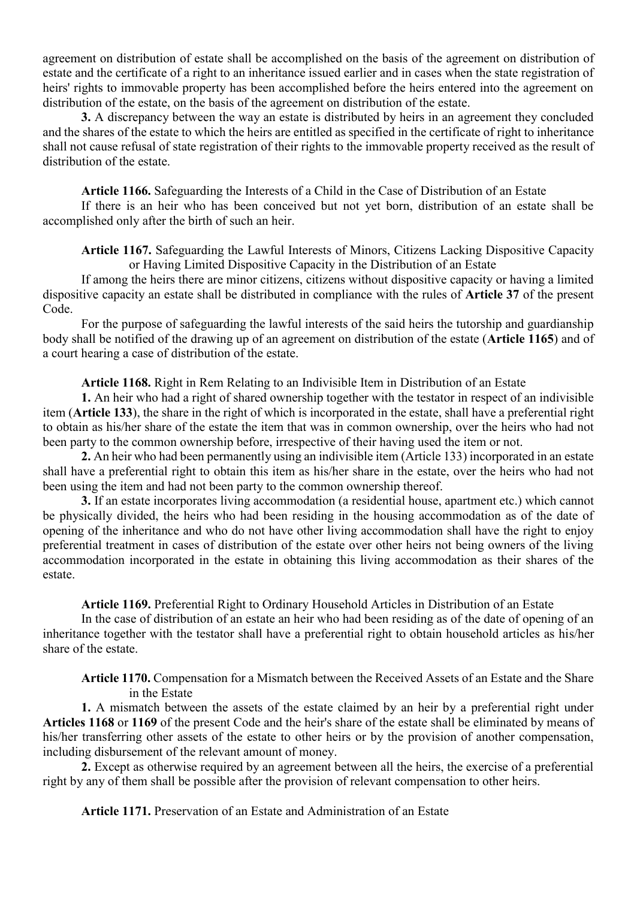agreement on distribution of estate shall be accomplished on the basis of the agreement on distribution of estate and the certificate of a right to an inheritance issued earlier and in cases when the state registration of heirs' rights to immovable property has been accomplished before the heirs entered into the agreement on distribution of the estate, on the basis of the agreement on distribution of the estate.

**3.** A discrepancy between the way an estate is distributed by heirs in an agreement they concluded and the shares of the estate to which the heirs are entitled as specified in the certificate of right to inheritance shall not cause refusal of state registration of their rights to the immovable property received as the result of distribution of the estate.

**Article 1166.** Safeguarding the Interests of a Child in the Case of Distribution of an Estate

If there is an heir who has been conceived but not yet born, distribution of an estate shall be accomplished only after the birth of such an heir.

**Article 1167.** Safeguarding the Lawful Interests of Minors, Citizens Lacking Dispositive Capacity or Having Limited Dispositive Capacity in the Distribution of an Estate

If among the heirs there are minor citizens, citizens without dispositive capacity or having a limited dispositive capacity an estate shall be distributed in compliance with the rules of **Article 37** of the present Code.

For the purpose of safeguarding the lawful interests of the said heirs the tutorship and guardianship body shall be notified of the drawing up of an agreement on distribution of the estate (**Article 1165**) and of a court hearing a case of distribution of the estate.

**Article 1168.** Right in Rem Relating to an Indivisible Item in Distribution of an Estate

**1.** An heir who had a right of shared ownership together with the testator in respect of an indivisible item (**Article 133**), the share in the right of which is incorporated in the estate, shall have a preferential right to obtain as his/her share of the estate the item that was in common ownership, over the heirs who had not been party to the common ownership before, irrespective of their having used the item or not.

**2.** An heir who had been permanently using an indivisible item (Article 133) incorporated in an estate shall have a preferential right to obtain this item as his/her share in the estate, over the heirs who had not been using the item and had not been party to the common ownership thereof.

**3.** If an estate incorporates living accommodation (a residential house, apartment etc.) which cannot be physically divided, the heirs who had been residing in the housing accommodation as of the date of opening of the inheritance and who do not have other living accommodation shall have the right to enjoy preferential treatment in cases of distribution of the estate over other heirs not being owners of the living accommodation incorporated in the estate in obtaining this living accommodation as their shares of the estate.

**Article 1169.** Preferential Right to Ordinary Household Articles in Distribution of an Estate

In the case of distribution of an estate an heir who had been residing as of the date of opening of an inheritance together with the testator shall have a preferential right to obtain household articles as his/her share of the estate.

**Article 1170.** Compensation for a Mismatch between the Received Assets of an Estate and the Share in the Estate

**1.** A mismatch between the assets of the estate claimed by an heir by a preferential right under **Articles 1168** or **1169** of the present Code and the heir's share of the estate shall be eliminated by means of his/her transferring other assets of the estate to other heirs or by the provision of another compensation, including disbursement of the relevant amount of money.

**2.** Except as otherwise required by an agreement between all the heirs, the exercise of a preferential right by any of them shall be possible after the provision of relevant compensation to other heirs.

**Article 1171.** Preservation of an Estate and Administration of an Estate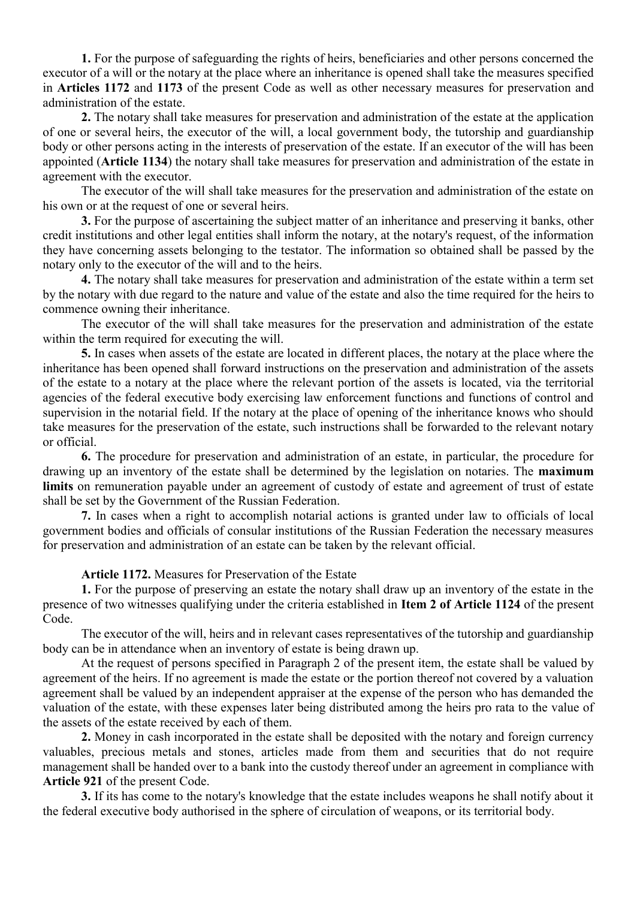**1.** For the purpose of safeguarding the rights of heirs, beneficiaries and other persons concerned the executor of a will or the notary at the place where an inheritance is opened shall take the measures specified in **Articles 1172** and **1173** of the present Code as well as other necessary measures for preservation and administration of the estate.

**2.** The notary shall take measures for preservation and administration of the estate at the application of one or several heirs, the executor of the will, a local government body, the tutorship and guardianship body or other persons acting in the interests of preservation of the estate. If an executor of the will has been appointed (**Article 1134**) the notary shall take measures for preservation and administration of the estate in agreement with the executor.

The executor of the will shall take measures for the preservation and administration of the estate on his own or at the request of one or several heirs.

**3.** For the purpose of ascertaining the subject matter of an inheritance and preserving it banks, other credit institutions and other legal entities shall inform the notary, at the notary's request, of the information they have concerning assets belonging to the testator. The information so obtained shall be passed by the notary only to the executor of the will and to the heirs.

**4.** The notary shall take measures for preservation and administration of the estate within a term set by the notary with due regard to the nature and value of the estate and also the time required for the heirs to commence owning their inheritance.

The executor of the will shall take measures for the preservation and administration of the estate within the term required for executing the will.

**5.** In cases when assets of the estate are located in different places, the notary at the place where the inheritance has been opened shall forward instructions on the preservation and administration of the assets of the estate to a notary at the place where the relevant portion of the assets is located, via the territorial agencies of the federal executive body exercising law enforcement functions and functions of control and supervision in the notarial field. If the notary at the place of opening of the inheritance knows who should take measures for the preservation of the estate, such instructions shall be forwarded to the relevant notary or official.

**6.** The procedure for preservation and administration of an estate, in particular, the procedure for drawing up an inventory of the estate shall be determined by the legislation on notaries. The **maximum limits** on remuneration payable under an agreement of custody of estate and agreement of trust of estate shall be set by the Government of the Russian Federation.

**7.** In cases when a right to accomplish notarial actions is granted under law to officials of local government bodies and officials of consular institutions of the Russian Federation the necessary measures for preservation and administration of an estate can be taken by the relevant official.

#### **Article 1172.** Measures for Preservation of the Estate

**1.** For the purpose of preserving an estate the notary shall draw up an inventory of the estate in the presence of two witnesses qualifying under the criteria established in **Item 2 of Article 1124** of the present Code.

The executor of the will, heirs and in relevant cases representatives of the tutorship and guardianship body can be in attendance when an inventory of estate is being drawn up.

At the request of persons specified in Paragraph 2 of the present item, the estate shall be valued by agreement of the heirs. If no agreement is made the estate or the portion thereof not covered by a valuation agreement shall be valued by an independent appraiser at the expense of the person who has demanded the valuation of the estate, with these expenses later being distributed among the heirs pro rata to the value of the assets of the estate received by each of them.

**2.** Money in cash incorporated in the estate shall be deposited with the notary and foreign currency valuables, precious metals and stones, articles made from them and securities that do not require management shall be handed over to a bank into the custody thereof under an agreement in compliance with **Article 921** of the present Code.

**3.** If its has come to the notary's knowledge that the estate includes weapons he shall notify about it the federal executive body authorised in the sphere of circulation of weapons, or its territorial body.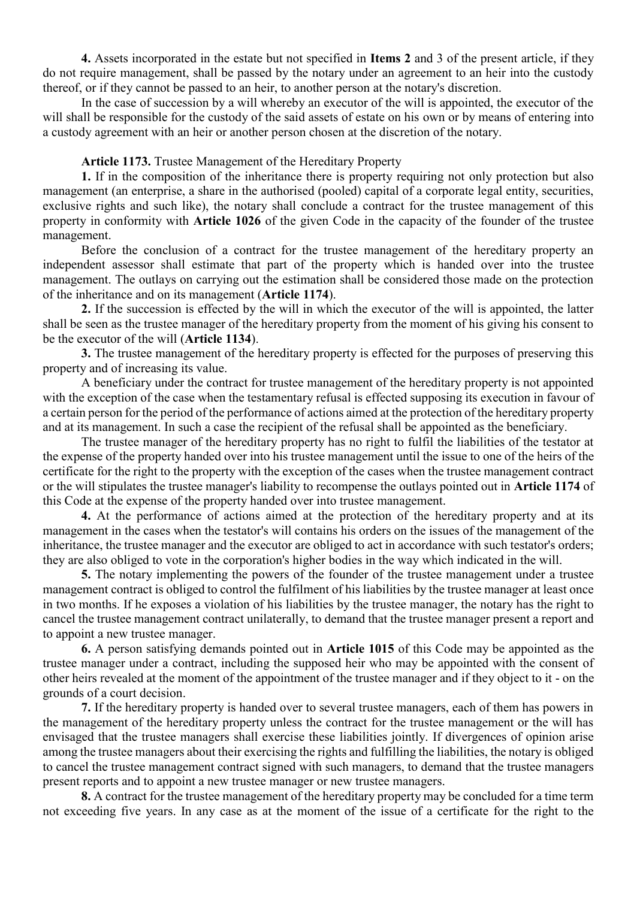**4.** Assets incorporated in the estate but not specified in **Items 2** and 3 of the present article, if they do not require management, shall be passed by the notary under an agreement to an heir into the custody thereof, or if they cannot be passed to an heir, to another person at the notary's discretion.

In the case of succession by a will whereby an executor of the will is appointed, the executor of the will shall be responsible for the custody of the said assets of estate on his own or by means of entering into a custody agreement with an heir or another person chosen at the discretion of the notary.

#### **Article 1173.** Trustee Management of the Hereditary Property

**1.** If in the composition of the inheritance there is property requiring not only protection but also management (an enterprise, a share in the authorised (pooled) capital of a corporate legal entity, securities, exclusive rights and such like), the notary shall conclude a contract for the trustee management of this property in conformity with **Article 1026** of the given Code in the capacity of the founder of the trustee management.

Before the conclusion of a contract for the trustee management of the hereditary property an independent assessor shall estimate that part of the property which is handed over into the trustee management. The outlays on carrying out the estimation shall be considered those made on the protection of the inheritance and on its management (**Article 1174**).

**2.** If the succession is effected by the will in which the executor of the will is appointed, the latter shall be seen as the trustee manager of the hereditary property from the moment of his giving his consent to be the executor of the will (**Article 1134**).

**3.** The trustee management of the hereditary property is effected for the purposes of preserving this property and of increasing its value.

A beneficiary under the contract for trustee management of the hereditary property is not appointed with the exception of the case when the testamentary refusal is effected supposing its execution in favour of a certain person for the period of the performance of actions aimed at the protection of the hereditary property and at its management. In such a case the recipient of the refusal shall be appointed as the beneficiary.

The trustee manager of the hereditary property has no right to fulfil the liabilities of the testator at the expense of the property handed over into his trustee management until the issue to one of the heirs of the certificate for the right to the property with the exception of the cases when the trustee management contract or the will stipulates the trustee manager's liability to recompense the outlays pointed out in **Article 1174** of this Code at the expense of the property handed over into trustee management.

**4.** At the performance of actions aimed at the protection of the hereditary property and at its management in the cases when the testator's will contains his orders on the issues of the management of the inheritance, the trustee manager and the executor are obliged to act in accordance with such testator's orders; they are also obliged to vote in the corporation's higher bodies in the way which indicated in the will.

**5.** The notary implementing the powers of the founder of the trustee management under a trustee management contract is obliged to control the fulfilment of his liabilities by the trustee manager at least once in two months. If he exposes a violation of his liabilities by the trustee manager, the notary has the right to cancel the trustee management contract unilaterally, to demand that the trustee manager present a report and to appoint a new trustee manager.

**6.** A person satisfying demands pointed out in **Article 1015** of this Code may be appointed as the trustee manager under a contract, including the supposed heir who may be appointed with the consent of other heirs revealed at the moment of the appointment of the trustee manager and if they object to it - on the grounds of a court decision.

**7.** If the hereditary property is handed over to several trustee managers, each of them has powers in the management of the hereditary property unless the contract for the trustee management or the will has envisaged that the trustee managers shall exercise these liabilities jointly. If divergences of opinion arise among the trustee managers about their exercising the rights and fulfilling the liabilities, the notary is obliged to cancel the trustee management contract signed with such managers, to demand that the trustee managers present reports and to appoint a new trustee manager or new trustee managers.

**8.** A contract for the trustee management of the hereditary property may be concluded for a time term not exceeding five years. In any case as at the moment of the issue of a certificate for the right to the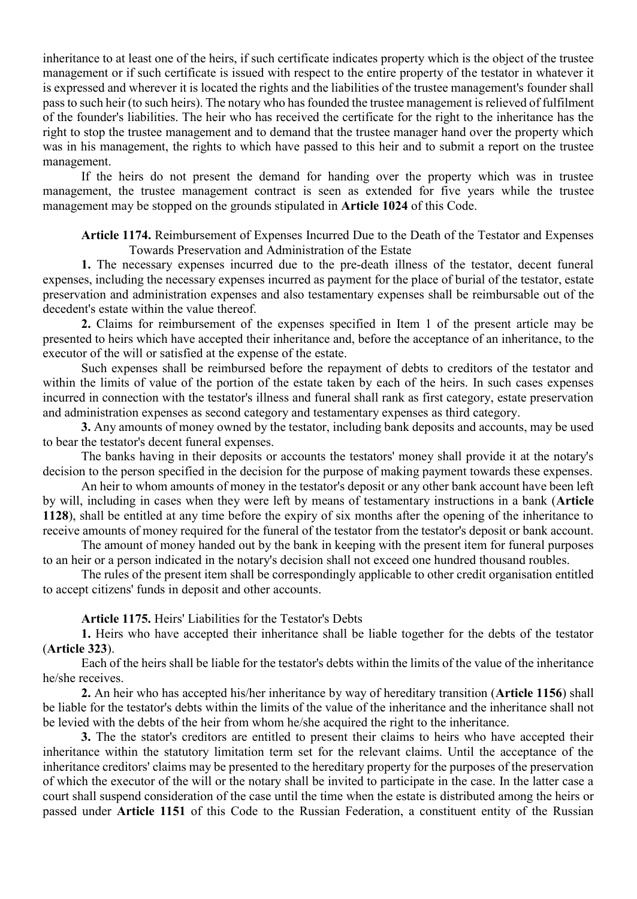inheritance to at least one of the heirs, if such certificate indicates property which is the object of the trustee management or if such certificate is issued with respect to the entire property of the testator in whatever it is expressed and wherever it is located the rights and the liabilities of the trustee management's founder shall pass to such heir (to such heirs). The notary who has founded the trustee management is relieved of fulfilment of the founder's liabilities. The heir who has received the certificate for the right to the inheritance has the right to stop the trustee management and to demand that the trustee manager hand over the property which was in his management, the rights to which have passed to this heir and to submit a report on the trustee management.

If the heirs do not present the demand for handing over the property which was in trustee management, the trustee management contract is seen as extended for five years while the trustee management may be stopped on the grounds stipulated in **Article 1024** of this Code.

**Article 1174.** Reimbursement of Expenses Incurred Due to the Death of the Testator and Expenses Towards Preservation and Administration of the Estate

**1.** The necessary expenses incurred due to the pre-death illness of the testator, decent funeral expenses, including the necessary expenses incurred as payment for the place of burial of the testator, estate preservation and administration expenses and also testamentary expenses shall be reimbursable out of the decedent's estate within the value thereof.

**2.** Claims for reimbursement of the expenses specified in Item 1 of the present article may be presented to heirs which have accepted their inheritance and, before the acceptance of an inheritance, to the executor of the will or satisfied at the expense of the estate.

Such expenses shall be reimbursed before the repayment of debts to creditors of the testator and within the limits of value of the portion of the estate taken by each of the heirs. In such cases expenses incurred in connection with the testator's illness and funeral shall rank as first category, estate preservation and administration expenses as second category and testamentary expenses as third category.

**3.** Any amounts of money owned by the testator, including bank deposits and accounts, may be used to bear the testator's decent funeral expenses.

The banks having in their deposits or accounts the testators' money shall provide it at the notary's decision to the person specified in the decision for the purpose of making payment towards these expenses.

An heir to whom amounts of money in the testator's deposit or any other bank account have been left by will, including in cases when they were left by means of testamentary instructions in a bank (**Article 1128**), shall be entitled at any time before the expiry of six months after the opening of the inheritance to receive amounts of money required for the funeral of the testator from the testator's deposit or bank account.

The amount of money handed out by the bank in keeping with the present item for funeral purposes to an heir or a person indicated in the notary's decision shall not exceed one hundred thousand roubles.

The rules of the present item shall be correspondingly applicable to other credit organisation entitled to accept citizens' funds in deposit and other accounts.

**Article 1175.** Heirs' Liabilities for the Testator's Debts

**1.** Heirs who have accepted their inheritance shall be liable together for the debts of the testator (**Article 323**).

Each of the heirs shall be liable for the testator's debts within the limits of the value of the inheritance he/she receives.

**2.** An heir who has accepted his/her inheritance by way of hereditary transition (**Article 1156**) shall be liable for the testator's debts within the limits of the value of the inheritance and the inheritance shall not be levied with the debts of the heir from whom he/she acquired the right to the inheritance.

**3.** The the stator's creditors are entitled to present their claims to heirs who have accepted their inheritance within the statutory limitation term set for the relevant claims. Until the acceptance of the inheritance creditors' claims may be presented to the hereditary property for the purposes of the preservation of which the executor of the will or the notary shall be invited to participate in the case. In the latter case a court shall suspend consideration of the case until the time when the estate is distributed among the heirs or passed under **Article 1151** of this Code to the Russian Federation, a constituent entity of the Russian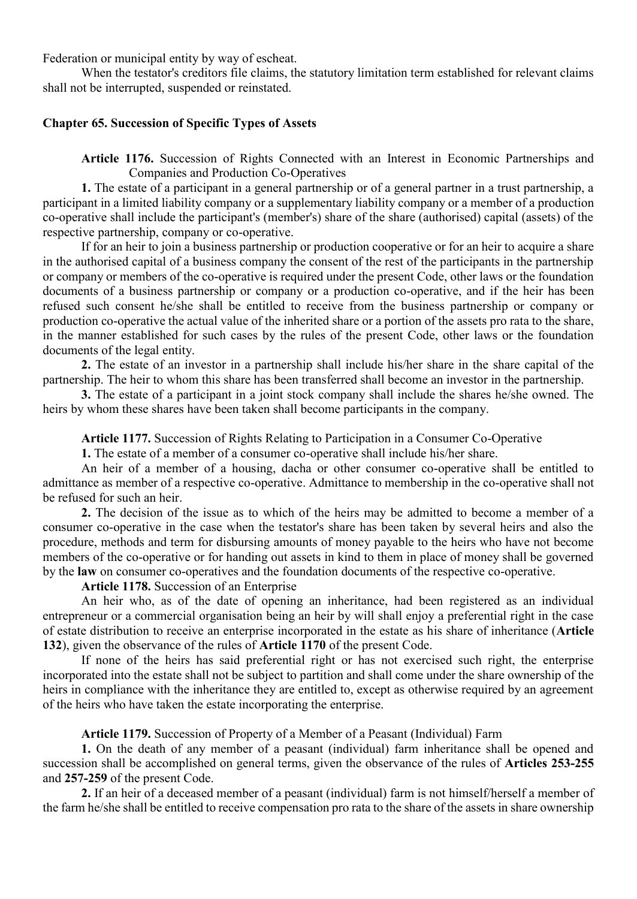Federation or municipal entity by way of escheat.

When the testator's creditors file claims, the statutory limitation term established for relevant claims shall not be interrupted, suspended or reinstated.

### **Chapter 65. Succession of Specific Types of Assets**

**Article 1176.** Succession of Rights Connected with an Interest in Economic Partnerships and Companies and Production Co-Operatives

**1.** The estate of a participant in a general partnership or of a general partner in a trust partnership, a participant in a limited liability company or a supplementary liability company or a member of a production co-operative shall include the participant's (member's) share of the share (authorised) capital (assets) of the respective partnership, company or co-operative.

If for an heir to join a business partnership or production cooperative or for an heir to acquire a share in the authorised capital of a business company the consent of the rest of the participants in the partnership or company or members of the co-operative is required under the present Code, other laws or the foundation documents of a business partnership or company or a production co-operative, and if the heir has been refused such consent he/she shall be entitled to receive from the business partnership or company or production co-operative the actual value of the inherited share or a portion of the assets pro rata to the share, in the manner established for such cases by the rules of the present Code, other laws or the foundation documents of the legal entity.

**2.** The estate of an investor in a partnership shall include his/her share in the share capital of the partnership. The heir to whom this share has been transferred shall become an investor in the partnership.

**3.** The estate of a participant in a joint stock company shall include the shares he/she owned. The heirs by whom these shares have been taken shall become participants in the company.

**Article 1177.** Succession of Rights Relating to Participation in a Consumer Co-Operative

**1.** The estate of a member of a consumer co-operative shall include his/her share.

An heir of a member of a housing, dacha or other consumer co-operative shall be entitled to admittance as member of a respective co-operative. Admittance to membership in the co-operative shall not be refused for such an heir.

**2.** The decision of the issue as to which of the heirs may be admitted to become a member of a consumer co-operative in the case when the testator's share has been taken by several heirs and also the procedure, methods and term for disbursing amounts of money payable to the heirs who have not become members of the co-operative or for handing out assets in kind to them in place of money shall be governed by the **law** on consumer co-operatives and the foundation documents of the respective co-operative.

**Article 1178.** Succession of an Enterprise

An heir who, as of the date of opening an inheritance, had been registered as an individual entrepreneur or a commercial organisation being an heir by will shall enjoy a preferential right in the case of estate distribution to receive an enterprise incorporated in the estate as his share of inheritance (**Article 132**), given the observance of the rules of **Article 1170** of the present Code.

If none of the heirs has said preferential right or has not exercised such right, the enterprise incorporated into the estate shall not be subject to partition and shall come under the share ownership of the heirs in compliance with the inheritance they are entitled to, except as otherwise required by an agreement of the heirs who have taken the estate incorporating the enterprise.

**Article 1179.** Succession of Property of a Member of a Peasant (Individual) Farm

**1.** On the death of any member of a peasant (individual) farm inheritance shall be opened and succession shall be accomplished on general terms, given the observance of the rules of **Articles 253-255** and **257-259** of the present Code.

**2.** If an heir of a deceased member of a peasant (individual) farm is not himself/herself a member of the farm he/she shall be entitled to receive compensation pro rata to the share of the assets in share ownership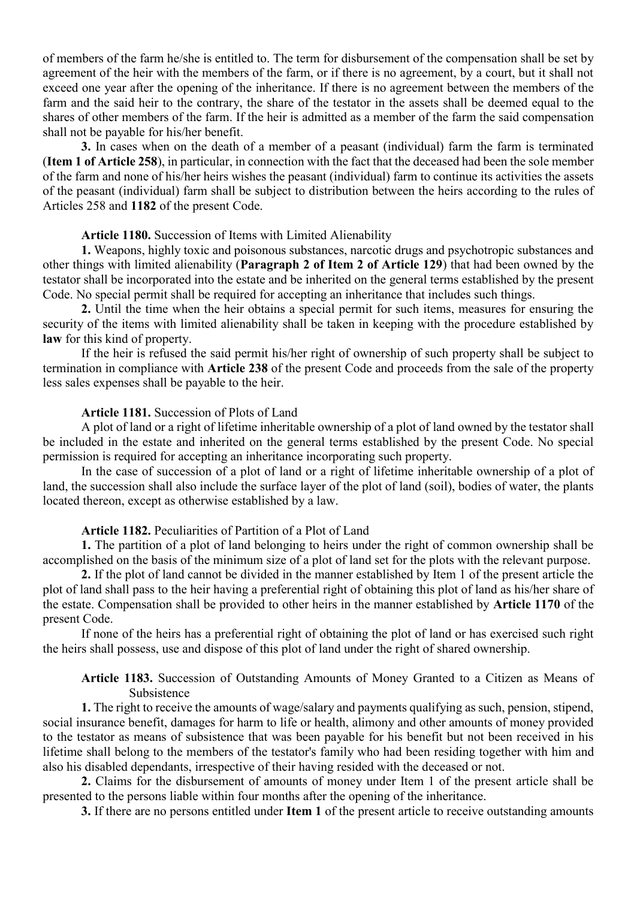of members of the farm he/she is entitled to. The term for disbursement of the compensation shall be set by agreement of the heir with the members of the farm, or if there is no agreement, by a court, but it shall not exceed one year after the opening of the inheritance. If there is no agreement between the members of the farm and the said heir to the contrary, the share of the testator in the assets shall be deemed equal to the shares of other members of the farm. If the heir is admitted as a member of the farm the said compensation shall not be payable for his/her benefit.

**3.** In cases when on the death of a member of a peasant (individual) farm the farm is terminated (**Item 1 of Article 258**), in particular, in connection with the fact that the deceased had been the sole member of the farm and none of his/her heirs wishes the peasant (individual) farm to continue its activities the assets of the peasant (individual) farm shall be subject to distribution between the heirs according to the rules of Articles 258 and **1182** of the present Code.

#### **Article 1180.** Succession of Items with Limited Alienability

**1.** Weapons, highly toxic and poisonous substances, narcotic drugs and psychotropic substances and other things with limited alienability (**Paragraph 2 of Item 2 of Article 129**) that had been owned by the testator shall be incorporated into the estate and be inherited on the general terms established by the present Code. No special permit shall be required for accepting an inheritance that includes such things.

**2.** Until the time when the heir obtains a special permit for such items, measures for ensuring the security of the items with limited alienability shall be taken in keeping with the procedure established by **law** for this kind of property.

If the heir is refused the said permit his/her right of ownership of such property shall be subject to termination in compliance with **Article 238** of the present Code and proceeds from the sale of the property less sales expenses shall be payable to the heir.

#### **Article 1181.** Succession of Plots of Land

A plot of land or a right of lifetime inheritable ownership of a plot of land owned by the testator shall be included in the estate and inherited on the general terms established by the present Code. No special permission is required for accepting an inheritance incorporating such property.

In the case of succession of a plot of land or a right of lifetime inheritable ownership of a plot of land, the succession shall also include the surface layer of the plot of land (soil), bodies of water, the plants located thereon, except as otherwise established by a law.

### **Article 1182.** Peculiarities of Partition of a Plot of Land

**1.** The partition of a plot of land belonging to heirs under the right of common ownership shall be accomplished on the basis of the minimum size of a plot of land set for the plots with the relevant purpose.

**2.** If the plot of land cannot be divided in the manner established by Item 1 of the present article the plot of land shall pass to the heir having a preferential right of obtaining this plot of land as his/her share of the estate. Compensation shall be provided to other heirs in the manner established by **Article 1170** of the present Code.

If none of the heirs has a preferential right of obtaining the plot of land or has exercised such right the heirs shall possess, use and dispose of this plot of land under the right of shared ownership.

**Article 1183.** Succession of Outstanding Amounts of Money Granted to a Citizen as Means of Subsistence

**1.** The right to receive the amounts of wage/salary and payments qualifying as such, pension, stipend, social insurance benefit, damages for harm to life or health, alimony and other amounts of money provided to the testator as means of subsistence that was been payable for his benefit but not been received in his lifetime shall belong to the members of the testator's family who had been residing together with him and also his disabled dependants, irrespective of their having resided with the deceased or not.

**2.** Claims for the disbursement of amounts of money under Item 1 of the present article shall be presented to the persons liable within four months after the opening of the inheritance.

**3.** If there are no persons entitled under **Item 1** of the present article to receive outstanding amounts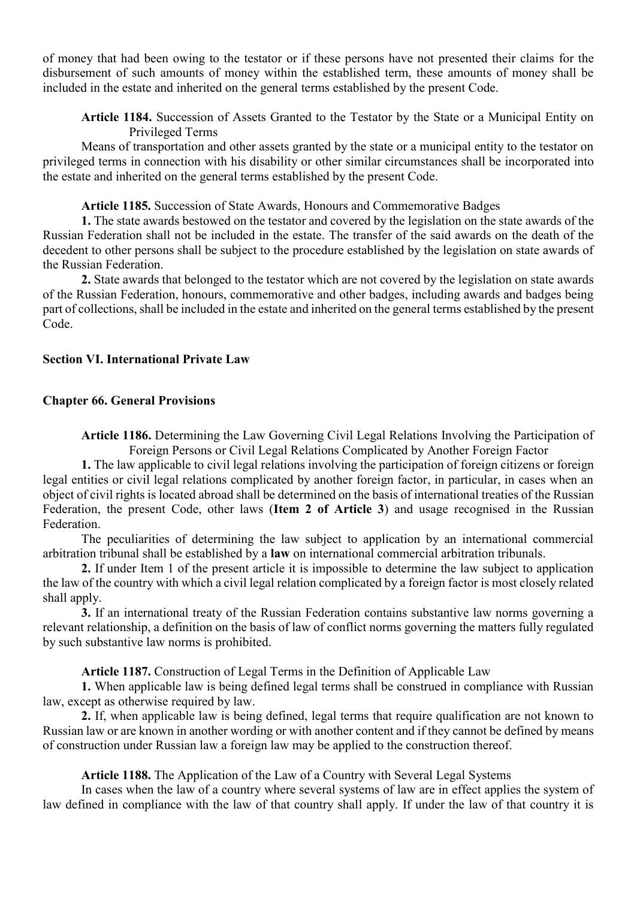of money that had been owing to the testator or if these persons have not presented their claims for the disbursement of such amounts of money within the established term, these amounts of money shall be included in the estate and inherited on the general terms established by the present Code.

**Article 1184.** Succession of Assets Granted to the Testator by the State or a Municipal Entity on Privileged Terms

Means of transportation and other assets granted by the state or a municipal entity to the testator on privileged terms in connection with his disability or other similar circumstances shall be incorporated into the estate and inherited on the general terms established by the present Code.

**Article 1185.** Succession of State Awards, Honours and Commemorative Badges

**1.** The state awards bestowed on the testator and covered by the legislation on the state awards of the Russian Federation shall not be included in the estate. The transfer of the said awards on the death of the decedent to other persons shall be subject to the procedure established by the legislation on state awards of the Russian Federation.

**2.** State awards that belonged to the testator which are not covered by the legislation on state awards of the Russian Federation, honours, commemorative and other badges, including awards and badges being part of collections, shall be included in the estate and inherited on the general terms established by the present Code.

#### **Section VI. International Private Law**

#### **Chapter 66. General Provisions**

**Article 1186.** Determining the Law Governing Civil Legal Relations Involving the Participation of Foreign Persons or Civil Legal Relations Complicated by Another Foreign Factor

**1.** The law applicable to civil legal relations involving the participation of foreign citizens or foreign legal entities or civil legal relations complicated by another foreign factor, in particular, in cases when an object of civil rights is located abroad shall be determined on the basis of international treaties of the Russian Federation, the present Code, other laws (**Item 2 of Article 3**) and usage recognised in the Russian Federation.

The peculiarities of determining the law subject to application by an international commercial arbitration tribunal shall be established by a **law** on international commercial arbitration tribunals.

**2.** If under Item 1 of the present article it is impossible to determine the law subject to application the law of the country with which a civil legal relation complicated by a foreign factor is most closely related shall apply.

**3.** If an international treaty of the Russian Federation contains substantive law norms governing a relevant relationship, a definition on the basis of law of conflict norms governing the matters fully regulated by such substantive law norms is prohibited.

**Article 1187.** Construction of Legal Terms in the Definition of Applicable Law

**1.** When applicable law is being defined legal terms shall be construed in compliance with Russian law, except as otherwise required by law.

**2.** If, when applicable law is being defined, legal terms that require qualification are not known to Russian law or are known in another wording or with another content and if they cannot be defined by means of construction under Russian law a foreign law may be applied to the construction thereof.

**Article 1188.** The Application of the Law of a Country with Several Legal Systems

In cases when the law of a country where several systems of law are in effect applies the system of law defined in compliance with the law of that country shall apply. If under the law of that country it is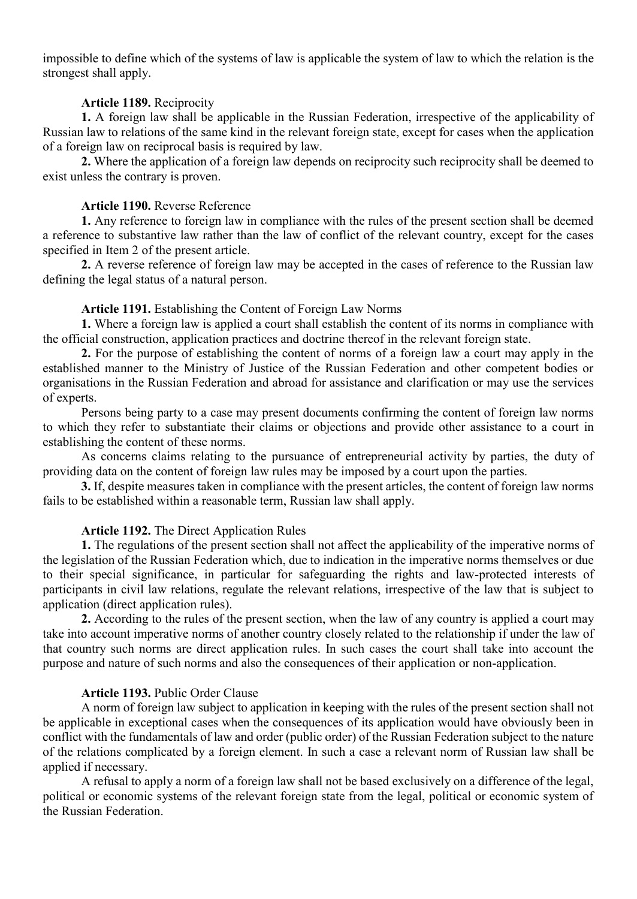impossible to define which of the systems of law is applicable the system of law to which the relation is the strongest shall apply.

#### **Article 1189.** Reciprocity

**1.** A foreign law shall be applicable in the Russian Federation, irrespective of the applicability of Russian law to relations of the same kind in the relevant foreign state, except for cases when the application of a foreign law on reciprocal basis is required by law.

**2.** Where the application of a foreign law depends on reciprocity such reciprocity shall be deemed to exist unless the contrary is proven.

#### **Article 1190.** Reverse Reference

**1.** Any reference to foreign law in compliance with the rules of the present section shall be deemed a reference to substantive law rather than the law of conflict of the relevant country, except for the cases specified in Item 2 of the present article.

**2.** A reverse reference of foreign law may be accepted in the cases of reference to the Russian law defining the legal status of a natural person.

#### **Article 1191.** Establishing the Content of Foreign Law Norms

**1.** Where a foreign law is applied a court shall establish the content of its norms in compliance with the official construction, application practices and doctrine thereof in the relevant foreign state.

**2.** For the purpose of establishing the content of norms of a foreign law a court may apply in the established manner to the Ministry of Justice of the Russian Federation and other competent bodies or organisations in the Russian Federation and abroad for assistance and clarification or may use the services of experts.

Persons being party to a case may present documents confirming the content of foreign law norms to which they refer to substantiate their claims or objections and provide other assistance to a court in establishing the content of these norms.

As concerns claims relating to the pursuance of entrepreneurial activity by parties, the duty of providing data on the content of foreign law rules may be imposed by a court upon the parties.

**3.** If, despite measures taken in compliance with the present articles, the content of foreign law norms fails to be established within a reasonable term, Russian law shall apply.

### **Article 1192.** The Direct Application Rules

**1.** The regulations of the present section shall not affect the applicability of the imperative norms of the legislation of the Russian Federation which, due to indication in the imperative norms themselves or due to their special significance, in particular for safeguarding the rights and law-protected interests of participants in civil law relations, regulate the relevant relations, irrespective of the law that is subject to application (direct application rules).

**2.** According to the rules of the present section, when the law of any country is applied a court may take into account imperative norms of another country closely related to the relationship if under the law of that country such norms are direct application rules. In such cases the court shall take into account the purpose and nature of such norms and also the consequences of their application or non-application.

### **Article 1193.** Public Order Clause

A norm of foreign law subject to application in keeping with the rules of the present section shall not be applicable in exceptional cases when the consequences of its application would have obviously been in conflict with the fundamentals of law and order (public order) of the Russian Federation subject to the nature of the relations complicated by a foreign element. In such a case a relevant norm of Russian law shall be applied if necessary.

A refusal to apply a norm of a foreign law shall not be based exclusively on a difference of the legal, political or economic systems of the relevant foreign state from the legal, political or economic system of the Russian Federation.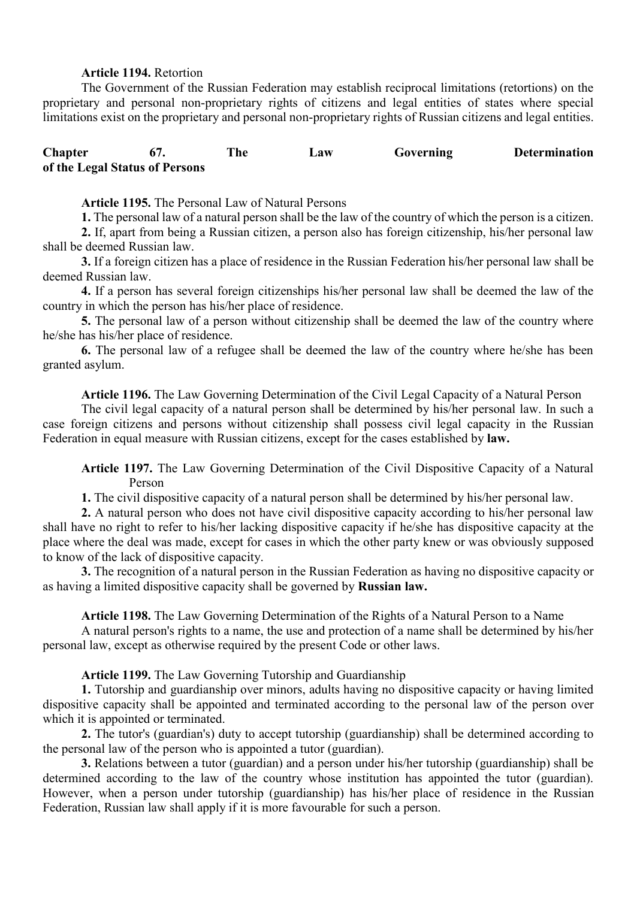### **Article 1194.** Retortion

The Government of the Russian Federation may establish reciprocal limitations (retortions) on the proprietary and personal non-proprietary rights of citizens and legal entities of states where special limitations exist on the proprietary and personal non-proprietary rights of Russian citizens and legal entities.

# **Chapter 67. The Law Governing Determination of the Legal Status of Persons**

### **Article 1195.** The Personal Law of Natural Persons

**1.** The personal law of a natural person shall be the law of the country of which the person is a citizen.

**2.** If, apart from being a Russian citizen, a person also has foreign citizenship, his/her personal law shall be deemed Russian law.

**3.** If a foreign citizen has a place of residence in the Russian Federation his/her personal law shall be deemed Russian law.

**4.** If a person has several foreign citizenships his/her personal law shall be deemed the law of the country in which the person has his/her place of residence.

**5.** The personal law of a person without citizenship shall be deemed the law of the country where he/she has his/her place of residence.

**6.** The personal law of a refugee shall be deemed the law of the country where he/she has been granted asylum.

**Article 1196.** The Law Governing Determination of the Civil Legal Capacity of a Natural Person

The civil legal capacity of a natural person shall be determined by his/her personal law. In such a case foreign citizens and persons without citizenship shall possess civil legal capacity in the Russian Federation in equal measure with Russian citizens, except for the cases established by **law.**

**Article 1197.** The Law Governing Determination of the Civil Dispositive Capacity of a Natural Person

**1.** The civil dispositive capacity of a natural person shall be determined by his/her personal law.

**2.** A natural person who does not have civil dispositive capacity according to his/her personal law shall have no right to refer to his/her lacking dispositive capacity if he/she has dispositive capacity at the place where the deal was made, except for cases in which the other party knew or was obviously supposed to know of the lack of dispositive capacity.

**3.** The recognition of a natural person in the Russian Federation as having no dispositive capacity or as having a limited dispositive capacity shall be governed by **Russian law.**

**Article 1198.** The Law Governing Determination of the Rights of a Natural Person to a Name

A natural person's rights to a name, the use and protection of a name shall be determined by his/her personal law, except as otherwise required by the present Code or other laws.

**Article 1199.** The Law Governing Tutorship and Guardianship

**1.** Tutorship and guardianship over minors, adults having no dispositive capacity or having limited dispositive capacity shall be appointed and terminated according to the personal law of the person over which it is appointed or terminated.

**2.** The tutor's (guardian's) duty to accept tutorship (guardianship) shall be determined according to the personal law of the person who is appointed a tutor (guardian).

**3.** Relations between a tutor (guardian) and a person under his/her tutorship (guardianship) shall be determined according to the law of the country whose institution has appointed the tutor (guardian). However, when a person under tutorship (guardianship) has his/her place of residence in the Russian Federation, Russian law shall apply if it is more favourable for such a person.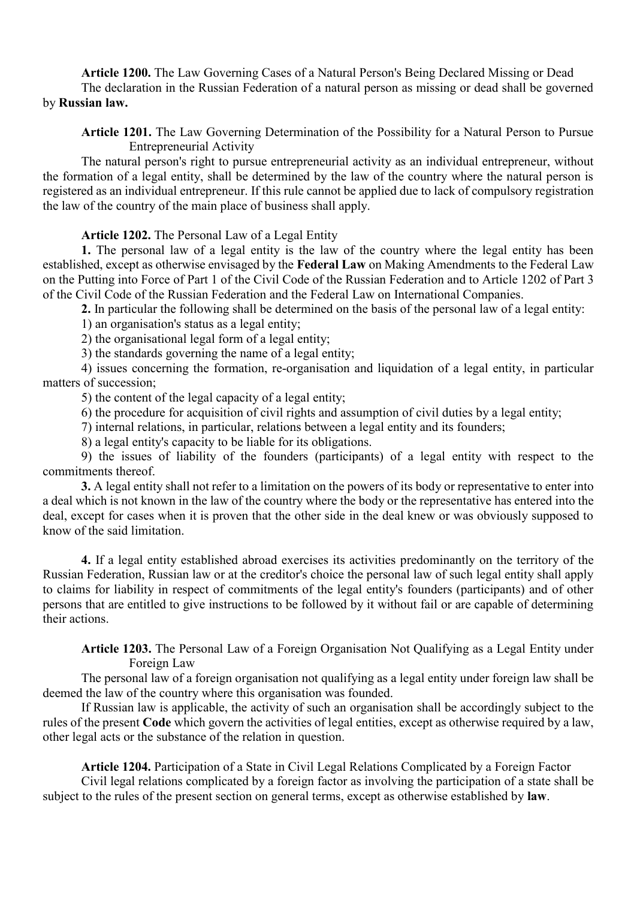**Article 1200.** The Law Governing Cases of a Natural Person's Being Declared Missing or Dead The declaration in the Russian Federation of a natural person as missing or dead shall be governed by **Russian law.**

**Article 1201.** The Law Governing Determination of the Possibility for a Natural Person to Pursue Entrepreneurial Activity

The natural person's right to pursue entrepreneurial activity as an individual entrepreneur, without the formation of a legal entity, shall be determined by the law of the country where the natural person is registered as an individual entrepreneur. If this rule cannot be applied due to lack of compulsory registration the law of the country of the main place of business shall apply.

**Article 1202.** The Personal Law of a Legal Entity

**1.** The personal law of a legal entity is the law of the country where the legal entity has been established, except as otherwise envisaged by the **Federal Law** on Making Amendments to the Federal Law on the Putting into Force of Part 1 of the Civil Code of the Russian Federation and to Article 1202 of Part 3 of the Civil Code of the Russian Federation and the Federal Law on International Companies.

**2.** In particular the following shall be determined on the basis of the personal law of a legal entity:

1) an organisation's status as a legal entity;

2) the organisational legal form of a legal entity;

3) the standards governing the name of a legal entity;

4) issues concerning the formation, re-organisation and liquidation of a legal entity, in particular matters of succession;

5) the content of the legal capacity of a legal entity;

6) the procedure for acquisition of civil rights and assumption of civil duties by a legal entity;

7) internal relations, in particular, relations between a legal entity and its founders;

8) a legal entity's capacity to be liable for its obligations.

9) the issues of liability of the founders (participants) of a legal entity with respect to the commitments thereof.

**3.** A legal entity shall not refer to a limitation on the powers of its body or representative to enter into a deal which is not known in the law of the country where the body or the representative has entered into the deal, except for cases when it is proven that the other side in the deal knew or was obviously supposed to know of the said limitation.

**4.** If a legal entity established abroad exercises its activities predominantly on the territory of the Russian Federation, Russian law or at the creditor's choice the personal law of such legal entity shall apply to claims for liability in respect of commitments of the legal entity's founders (participants) and of other persons that are entitled to give instructions to be followed by it without fail or are capable of determining their actions.

**Article 1203.** The Personal Law of a Foreign Organisation Not Qualifying as a Legal Entity under Foreign Law

The personal law of a foreign organisation not qualifying as a legal entity under foreign law shall be deemed the law of the country where this organisation was founded.

If Russian law is applicable, the activity of such an organisation shall be accordingly subject to the rules of the present **Code** which govern the activities of legal entities, except as otherwise required by a law, other legal acts or the substance of the relation in question.

**Article 1204.** Participation of a State in Civil Legal Relations Complicated by a Foreign Factor Civil legal relations complicated by a foreign factor as involving the participation of a state shall be

subject to the rules of the present section on general terms, except as otherwise established by **law**.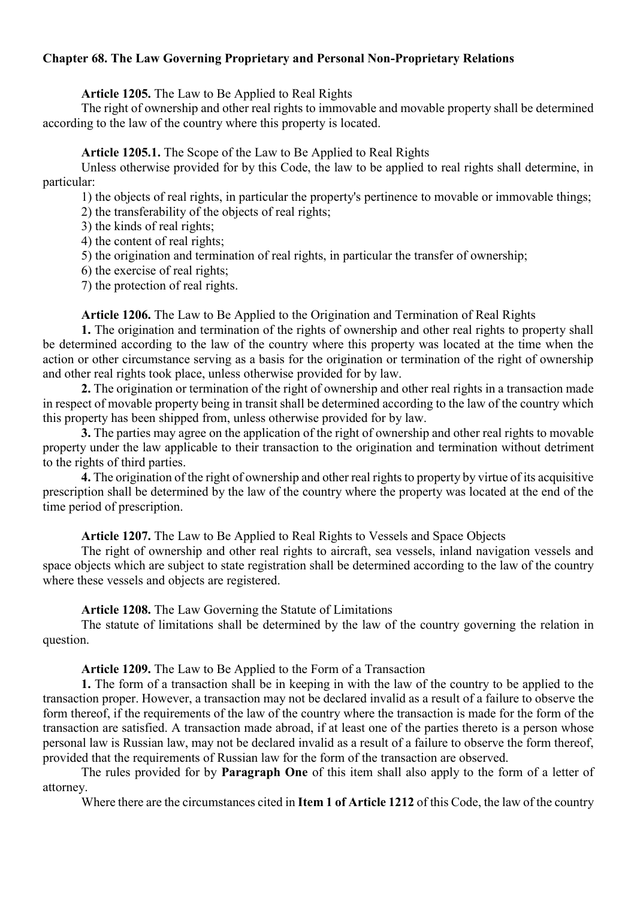# **Chapter 68. The Law Governing Proprietary and Personal Non-Proprietary Relations**

## **Article 1205.** The Law to Be Applied to Real Rights

The right of ownership and other real rights to immovable and movable property shall be determined according to the law of the country where this property is located.

# **Article 1205.1.** The Scope of the Law to Be Applied to Real Rights

Unless otherwise provided for by this Code, the law to be applied to real rights shall determine, in particular:

1) the objects of real rights, in particular the property's pertinence to movable or immovable things;

2) the transferability of the objects of real rights;

3) the kinds of real rights;

4) the content of real rights;

5) the origination and termination of real rights, in particular the transfer of ownership;

6) the exercise of real rights;

7) the protection of real rights.

**Article 1206.** The Law to Be Applied to the Origination and Termination of Real Rights

**1.** The origination and termination of the rights of ownership and other real rights to property shall be determined according to the law of the country where this property was located at the time when the action or other circumstance serving as a basis for the origination or termination of the right of ownership and other real rights took place, unless otherwise provided for by law.

**2.** The origination or termination of the right of ownership and other real rights in a transaction made in respect of movable property being in transit shall be determined according to the law of the country which this property has been shipped from, unless otherwise provided for by law.

**3.** The parties may agree on the application of the right of ownership and other real rights to movable property under the law applicable to their transaction to the origination and termination without detriment to the rights of third parties.

**4.** The origination of the right of ownership and other real rights to property by virtue of its acquisitive prescription shall be determined by the law of the country where the property was located at the end of the time period of prescription.

**Article 1207.** The Law to Be Applied to Real Rights to Vessels and Space Objects

The right of ownership and other real rights to aircraft, sea vessels, inland navigation vessels and space objects which are subject to state registration shall be determined according to the law of the country where these vessels and objects are registered.

### **Article 1208.** The Law Governing the Statute of Limitations

The statute of limitations shall be determined by the law of the country governing the relation in question.

**Article 1209.** The Law to Be Applied to the Form of a Transaction

**1.** The form of a transaction shall be in keeping in with the law of the country to be applied to the transaction proper. However, a transaction may not be declared invalid as a result of a failure to observe the form thereof, if the requirements of the law of the country where the transaction is made for the form of the transaction are satisfied. A transaction made abroad, if at least one of the parties thereto is a person whose personal law is Russian law, may not be declared invalid as a result of a failure to observe the form thereof, provided that the requirements of Russian law for the form of the transaction are observed.

The rules provided for by **Paragraph One** of this item shall also apply to the form of a letter of attorney.

Where there are the circumstances cited in **Item 1 of Article 1212** of this Code, the law of the country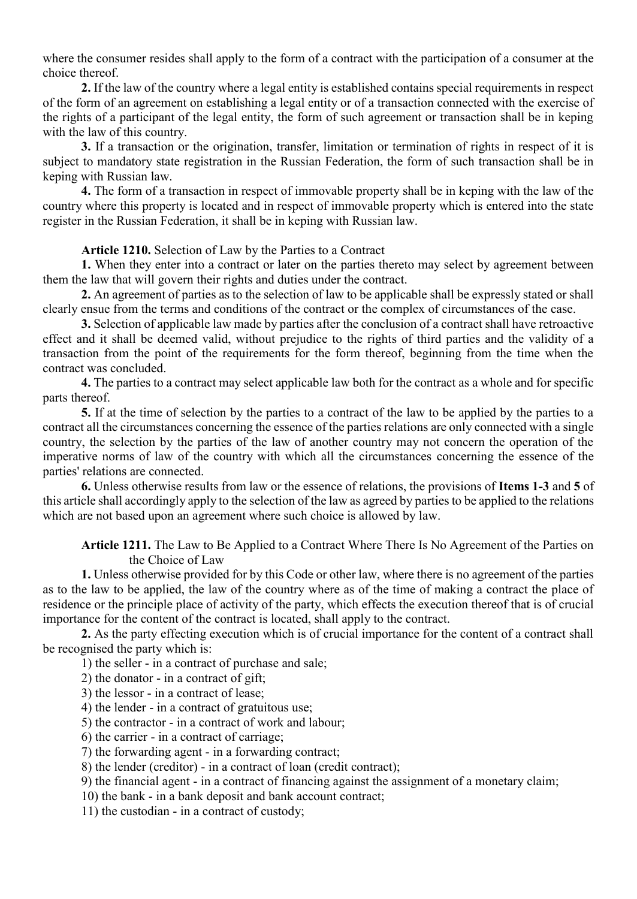where the consumer resides shall apply to the form of a contract with the participation of a consumer at the choice thereof.

**2.** If the law of the country where a legal entity is established contains special requirements in respect of the form of an agreement on establishing a legal entity or of a transaction connected with the exercise of the rights of a participant of the legal entity, the form of such agreement or transaction shall be in keping with the law of this country.

**3.** If a transaction or the origination, transfer, limitation or termination of rights in respect of it is subject to mandatory state registration in the Russian Federation, the form of such transaction shall be in keping with Russian law.

**4.** The form of a transaction in respect of immovable property shall be in keping with the law of the country where this property is located and in respect of immovable property which is entered into the state register in the Russian Federation, it shall be in keping with Russian law.

### **Article 1210.** Selection of Law by the Parties to a Contract

**1.** When they enter into a contract or later on the parties thereto may select by agreement between them the law that will govern their rights and duties under the contract.

**2.** An agreement of parties as to the selection of law to be applicable shall be expressly stated or shall clearly ensue from the terms and conditions of the contract or the complex of circumstances of the case.

**3.** Selection of applicable law made by parties after the conclusion of a contract shall have retroactive effect and it shall be deemed valid, without prejudice to the rights of third parties and the validity of a transaction from the point of the requirements for the form thereof, beginning from the time when the contract was concluded.

**4.** The parties to a contract may select applicable law both for the contract as a whole and for specific parts thereof.

**5.** If at the time of selection by the parties to a contract of the law to be applied by the parties to a contract all the circumstances concerning the essence of the parties relations are only connected with a single country, the selection by the parties of the law of another country may not concern the operation of the imperative norms of law of the country with which all the circumstances concerning the essence of the parties' relations are connected.

**6.** Unless otherwise results from law or the essence of relations, the provisions of **Items 1-3** and **5** of this article shall accordingly apply to the selection of the law as agreed by parties to be applied to the relations which are not based upon an agreement where such choice is allowed by law.

**Article 1211.** The Law to Be Applied to a Contract Where There Is No Agreement of the Parties on the Choice of Law

**1.** Unless otherwise provided for by this Code or other law, where there is no agreement of the parties as to the law to be applied, the law of the country where as of the time of making a contract the place of residence or the principle place of activity of the party, which effects the execution thereof that is of crucial importance for the content of the contract is located, shall apply to the contract.

**2.** As the party effecting execution which is of crucial importance for the content of a contract shall be recognised the party which is:

1) the seller - in a contract of purchase and sale;

2) the donator - in a contract of gift;

3) the lessor - in a contract of lease;

4) the lender - in a contract of gratuitous use;

5) the contractor - in a contract of work and labour;

6) the carrier - in a contract of carriage;

7) the forwarding agent - in a forwarding contract;

8) the lender (creditor) - in a contract of loan (credit contract);

9) the financial agent - in a contract of financing against the assignment of a monetary claim;

10) the bank - in a bank deposit and bank account contract;

11) the custodian - in a contract of custody;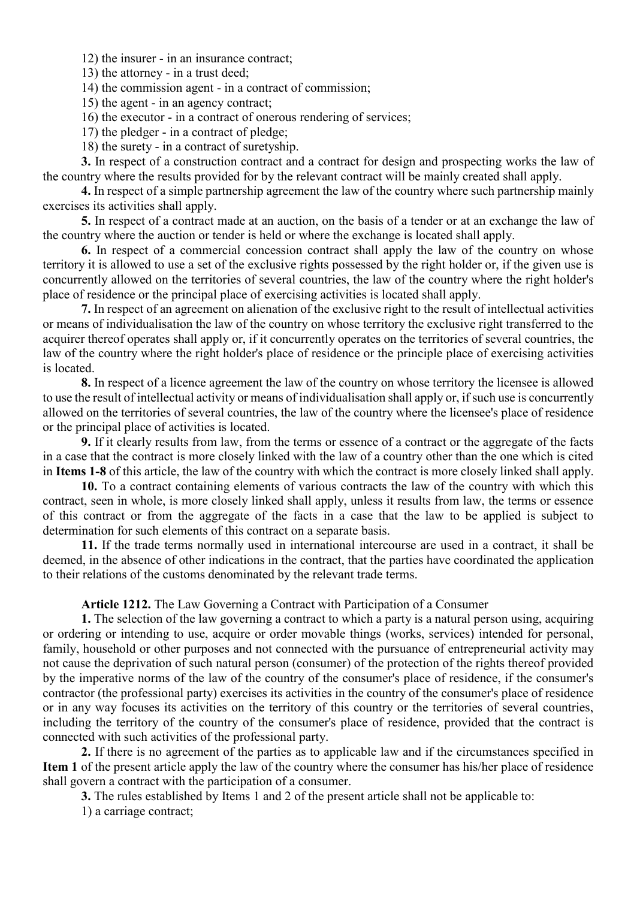12) the insurer - in an insurance contract;

13) the attorney - in a trust deed;

14) the commission agent - in a contract of commission;

15) the agent - in an agency contract;

16) the executor - in a contract of onerous rendering of services;

17) the pledger - in a contract of pledge;

18) the surety - in a contract of suretyship.

**3.** In respect of a construction contract and a contract for design and prospecting works the law of the country where the results provided for by the relevant contract will be mainly created shall apply.

**4.** In respect of a simple partnership agreement the law of the country where such partnership mainly exercises its activities shall apply.

**5.** In respect of a contract made at an auction, on the basis of a tender or at an exchange the law of the country where the auction or tender is held or where the exchange is located shall apply.

**6.** In respect of a commercial concession contract shall apply the law of the country on whose territory it is allowed to use a set of the exclusive rights possessed by the right holder or, if the given use is concurrently allowed on the territories of several countries, the law of the country where the right holder's place of residence or the principal place of exercising activities is located shall apply.

**7.** In respect of an agreement on alienation of the exclusive right to the result of intellectual activities or means of individualisation the law of the country on whose territory the exclusive right transferred to the acquirer thereof operates shall apply or, if it concurrently operates on the territories of several countries, the law of the country where the right holder's place of residence or the principle place of exercising activities is located.

**8.** In respect of a licence agreement the law of the country on whose territory the licensee is allowed to use the result of intellectual activity or means of individualisation shall apply or, if such use is concurrently allowed on the territories of several countries, the law of the country where the licensee's place of residence or the principal place of activities is located.

**9.** If it clearly results from law, from the terms or essence of a contract or the aggregate of the facts in a case that the contract is more closely linked with the law of a country other than the one which is cited in **Items 1-8** of this article, the law of the country with which the contract is more closely linked shall apply.

**10.** To a contract containing elements of various contracts the law of the country with which this contract, seen in whole, is more closely linked shall apply, unless it results from law, the terms or essence of this contract or from the aggregate of the facts in a case that the law to be applied is subject to determination for such elements of this contract on a separate basis.

**11.** If the trade terms normally used in international intercourse are used in a contract, it shall be deemed, in the absence of other indications in the contract, that the parties have coordinated the application to their relations of the customs denominated by the relevant trade terms.

#### **Article 1212.** The Law Governing a Contract with Participation of a Consumer

**1.** The selection of the law governing a contract to which a party is a natural person using, acquiring or ordering or intending to use, acquire or order movable things (works, services) intended for personal, family, household or other purposes and not connected with the pursuance of entrepreneurial activity may not cause the deprivation of such natural person (consumer) of the protection of the rights thereof provided by the imperative norms of the law of the country of the consumer's place of residence, if the consumer's contractor (the professional party) exercises its activities in the country of the consumer's place of residence or in any way focuses its activities on the territory of this country or the territories of several countries, including the territory of the country of the consumer's place of residence, provided that the contract is connected with such activities of the professional party.

**2.** If there is no agreement of the parties as to applicable law and if the circumstances specified in **Item 1** of the present article apply the law of the country where the consumer has his/her place of residence shall govern a contract with the participation of a consumer.

**3.** The rules established by Items 1 and 2 of the present article shall not be applicable to:

1) a carriage contract;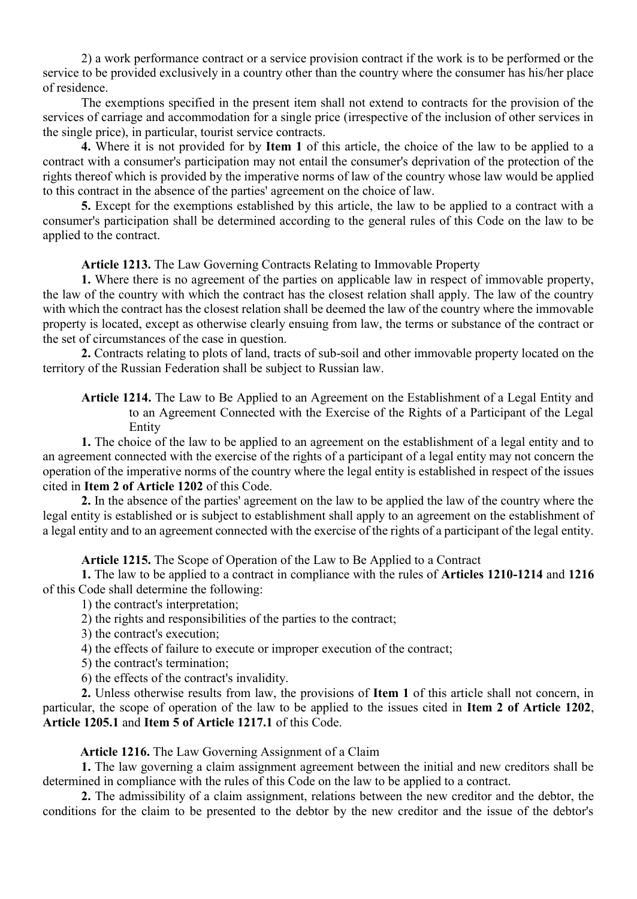2) a work performance contract or a service provision contract if the work is to be performed or the service to be provided exclusively in a country other than the country where the consumer has his/her place of residence.

The exemptions specified in the present item shall not extend to contracts for the provision of the services of carriage and accommodation for a single price (irrespective of the inclusion of other services in the single price), in particular, tourist service contracts.

**4.** Where it is not provided for by **Item 1** of this article, the choice of the law to be applied to a contract with a consumer's participation may not entail the consumer's deprivation of the protection of the rights thereof which is provided by the imperative norms of law of the country whose law would be applied to this contract in the absence of the parties' agreement on the choice of law.

**5.** Except for the exemptions established by this article, the law to be applied to a contract with a consumer's participation shall be determined according to the general rules of this Code on the law to be applied to the contract.

**Article 1213.** The Law Governing Contracts Relating to Immovable Property

**1.** Where there is no agreement of the parties on applicable law in respect of immovable property, the law of the country with which the contract has the closest relation shall apply. The law of the country with which the contract has the closest relation shall be deemed the law of the country where the immovable property is located, except as otherwise clearly ensuing from law, the terms or substance of the contract or the set of circumstances of the case in question.

**2.** Contracts relating to plots of land, tracts of sub-soil and other immovable property located on the territory of the Russian Federation shall be subject to Russian law.

**Article 1214.** The Law to Be Applied to an Agreement on the Establishment of a Legal Entity and to an Agreement Connected with the Exercise of the Rights of a Participant of the Legal Entity

**1.** The choice of the law to be applied to an agreement on the establishment of a legal entity and to an agreement connected with the exercise of the rights of a participant of a legal entity may not concern the operation of the imperative norms of the country where the legal entity is established in respect of the issues cited in **Item 2 of Article 1202** of this Code.

**2.** In the absence of the parties' agreement on the law to be applied the law of the country where the legal entity is established or is subject to establishment shall apply to an agreement on the establishment of a legal entity and to an agreement connected with the exercise of the rights of a participant of the legal entity.

**Article 1215.** The Scope of Operation of the Law to Be Applied to a Contract

**1.** The law to be applied to a contract in compliance with the rules of **Articles 1210-1214** and **1216** of this Code shall determine the following:

1) the contract's interpretation;

- 2) the rights and responsibilities of the parties to the contract;
- 3) the contract's execution;
- 4) the effects of failure to execute or improper execution of the contract;
- 5) the contract's termination;

6) the effects of the contract's invalidity.

**2.** Unless otherwise results from law, the provisions of **Item 1** of this article shall not concern, in particular, the scope of operation of the law to be applied to the issues cited in **Item 2 of Article 1202**, **Article 1205.1** and **Item 5 of Article 1217.1** of this Code.

#### **Article 1216.** The Law Governing Assignment of a Claim

**1.** The law governing a claim assignment agreement between the initial and new creditors shall be determined in compliance with the rules of this Code on the law to be applied to a contract.

**2.** The admissibility of a claim assignment, relations between the new creditor and the debtor, the conditions for the claim to be presented to the debtor by the new creditor and the issue of the debtor's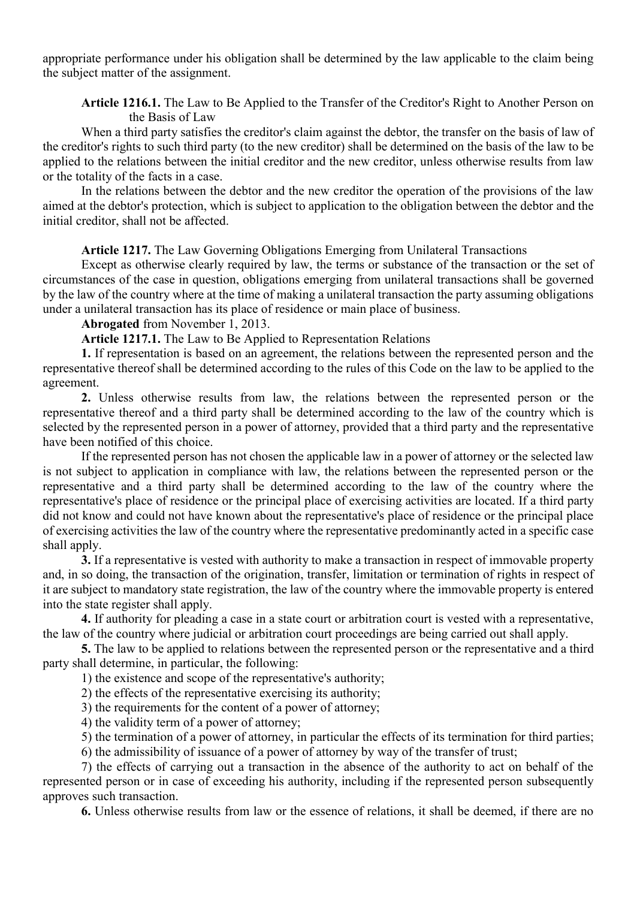appropriate performance under his obligation shall be determined by the law applicable to the claim being the subject matter of the assignment.

**Article 1216.1.** The Law to Be Applied to the Transfer of the Creditor's Right to Another Person on the Basis of Law

When a third party satisfies the creditor's claim against the debtor, the transfer on the basis of law of the creditor's rights to such third party (to the new creditor) shall be determined on the basis of the law to be applied to the relations between the initial creditor and the new creditor, unless otherwise results from law or the totality of the facts in a case.

In the relations between the debtor and the new creditor the operation of the provisions of the law aimed at the debtor's protection, which is subject to application to the obligation between the debtor and the initial creditor, shall not be affected.

**Article 1217.** The Law Governing Obligations Emerging from Unilateral Transactions

Except as otherwise clearly required by law, the terms or substance of the transaction or the set of circumstances of the case in question, obligations emerging from unilateral transactions shall be governed by the law of the country where at the time of making a unilateral transaction the party assuming obligations under a unilateral transaction has its place of residence or main place of business.

**Abrogated** from November 1, 2013.

**Article 1217.1.** The Law to Be Applied to Representation Relations

**1.** If representation is based on an agreement, the relations between the represented person and the representative thereof shall be determined according to the rules of this Code on the law to be applied to the agreement.

**2.** Unless otherwise results from law, the relations between the represented person or the representative thereof and a third party shall be determined according to the law of the country which is selected by the represented person in a power of attorney, provided that a third party and the representative have been notified of this choice.

If the represented person has not chosen the applicable law in a power of attorney or the selected law is not subject to application in compliance with law, the relations between the represented person or the representative and a third party shall be determined according to the law of the country where the representative's place of residence or the principal place of exercising activities are located. If a third party did not know and could not have known about the representative's place of residence or the principal place of exercising activities the law of the country where the representative predominantly acted in a specific case shall apply.

**3.** If a representative is vested with authority to make a transaction in respect of immovable property and, in so doing, the transaction of the origination, transfer, limitation or termination of rights in respect of it are subject to mandatory state registration, the law of the country where the immovable property is entered into the state register shall apply.

**4.** If authority for pleading a case in a state court or arbitration court is vested with a representative, the law of the country where judicial or arbitration court proceedings are being carried out shall apply.

**5.** The law to be applied to relations between the represented person or the representative and a third party shall determine, in particular, the following:

1) the existence and scope of the representative's authority;

2) the effects of the representative exercising its authority;

3) the requirements for the content of a power of attorney;

4) the validity term of a power of attorney;

5) the termination of a power of attorney, in particular the effects of its termination for third parties;

6) the admissibility of issuance of a power of attorney by way of the transfer of trust;

7) the effects of carrying out a transaction in the absence of the authority to act on behalf of the represented person or in case of exceeding his authority, including if the represented person subsequently approves such transaction.

**6.** Unless otherwise results from law or the essence of relations, it shall be deemed, if there are no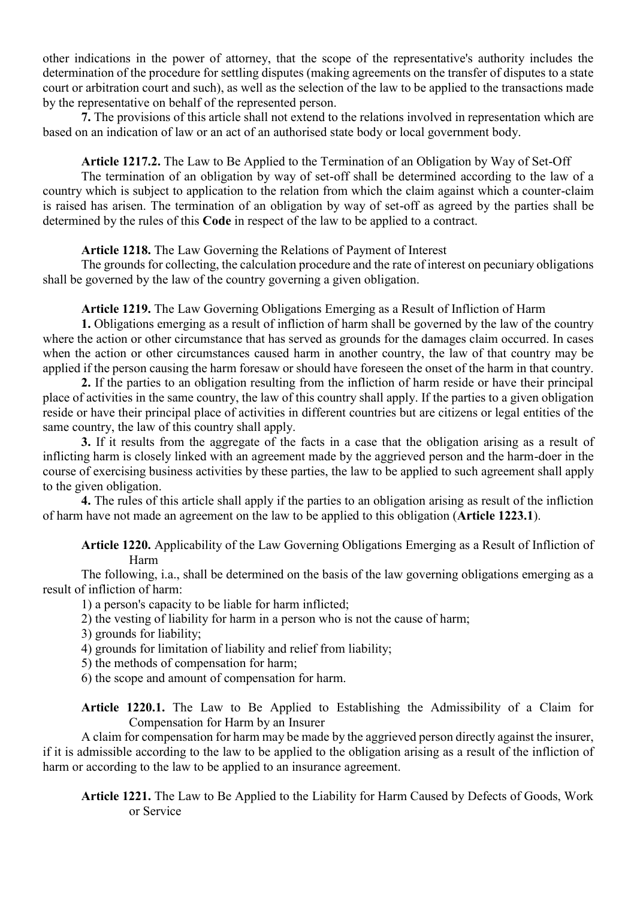other indications in the power of attorney, that the scope of the representative's authority includes the determination of the procedure for settling disputes (making agreements on the transfer of disputes to a state court or arbitration court and such), as well as the selection of the law to be applied to the transactions made by the representative on behalf of the represented person.

**7.** The provisions of this article shall not extend to the relations involved in representation which are based on an indication of law or an act of an authorised state body or local government body.

## **Article 1217.2.** The Law to Be Applied to the Termination of an Obligation by Way of Set-Off

The termination of an obligation by way of set-off shall be determined according to the law of a country which is subject to application to the relation from which the claim against which a counter-claim is raised has arisen. The termination of an obligation by way of set-off as agreed by the parties shall be determined by the rules of this **Code** in respect of the law to be applied to a contract.

**Article 1218.** The Law Governing the Relations of Payment of Interest

The grounds for collecting, the calculation procedure and the rate of interest on pecuniary obligations shall be governed by the law of the country governing a given obligation.

**Article 1219.** The Law Governing Obligations Emerging as a Result of Infliction of Harm

**1.** Obligations emerging as a result of infliction of harm shall be governed by the law of the country where the action or other circumstance that has served as grounds for the damages claim occurred. In cases when the action or other circumstances caused harm in another country, the law of that country may be applied if the person causing the harm foresaw or should have foreseen the onset of the harm in that country.

**2.** If the parties to an obligation resulting from the infliction of harm reside or have their principal place of activities in the same country, the law of this country shall apply. If the parties to a given obligation reside or have their principal place of activities in different countries but are citizens or legal entities of the same country, the law of this country shall apply.

**3.** If it results from the aggregate of the facts in a case that the obligation arising as a result of inflicting harm is closely linked with an agreement made by the aggrieved person and the harm-doer in the course of exercising business activities by these parties, the law to be applied to such agreement shall apply to the given obligation.

**4.** The rules of this article shall apply if the parties to an obligation arising as result of the infliction of harm have not made an agreement on the law to be applied to this obligation (**Article 1223.1**).

**Article 1220.** Applicability of the Law Governing Obligations Emerging as a Result of Infliction of Harm

The following, i.a., shall be determined on the basis of the law governing obligations emerging as a result of infliction of harm:

1) a person's capacity to be liable for harm inflicted;

2) the vesting of liability for harm in a person who is not the cause of harm;

3) grounds for liability;

4) grounds for limitation of liability and relief from liability;

5) the methods of compensation for harm;

6) the scope and amount of compensation for harm.

**Article 1220.1.** The Law to Be Applied to Establishing the Admissibility of a Claim for Compensation for Harm by an Insurer

A claim for compensation for harm may be made by the aggrieved person directly against the insurer, if it is admissible according to the law to be applied to the obligation arising as a result of the infliction of harm or according to the law to be applied to an insurance agreement.

**Article 1221.** The Law to Be Applied to the Liability for Harm Caused by Defects of Goods, Work or Service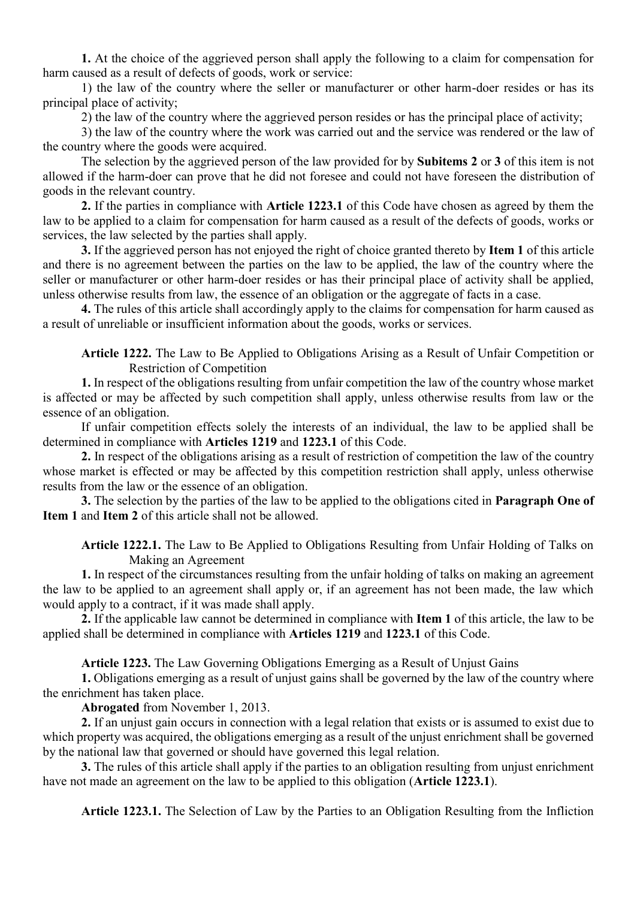**1.** At the choice of the aggrieved person shall apply the following to a claim for compensation for harm caused as a result of defects of goods, work or service:

1) the law of the country where the seller or manufacturer or other harm-doer resides or has its principal place of activity;

2) the law of the country where the aggrieved person resides or has the principal place of activity;

3) the law of the country where the work was carried out and the service was rendered or the law of the country where the goods were acquired.

The selection by the aggrieved person of the law provided for by **Subitems 2** or **3** of this item is not allowed if the harm-doer can prove that he did not foresee and could not have foreseen the distribution of goods in the relevant country.

**2.** If the parties in compliance with **Article 1223.1** of this Code have chosen as agreed by them the law to be applied to a claim for compensation for harm caused as a result of the defects of goods, works or services, the law selected by the parties shall apply.

**3.** If the aggrieved person has not enjoyed the right of choice granted thereto by **Item 1** of this article and there is no agreement between the parties on the law to be applied, the law of the country where the seller or manufacturer or other harm-doer resides or has their principal place of activity shall be applied, unless otherwise results from law, the essence of an obligation or the aggregate of facts in a case.

**4.** The rules of this article shall accordingly apply to the claims for compensation for harm caused as a result of unreliable or insufficient information about the goods, works or services.

**Article 1222.** The Law to Be Applied to Obligations Arising as a Result of Unfair Competition or Restriction of Competition

**1.** In respect of the obligations resulting from unfair competition the law of the country whose market is affected or may be affected by such competition shall apply, unless otherwise results from law or the essence of an obligation.

If unfair competition effects solely the interests of an individual, the law to be applied shall be determined in compliance with **Articles 1219** and **1223.1** of this Code.

**2.** In respect of the obligations arising as a result of restriction of competition the law of the country whose market is effected or may be affected by this competition restriction shall apply, unless otherwise results from the law or the essence of an obligation.

**3.** The selection by the parties of the law to be applied to the obligations cited in **Paragraph One of Item 1** and **Item 2** of this article shall not be allowed.

**Article 1222.1.** The Law to Be Applied to Obligations Resulting from Unfair Holding of Talks on Making an Agreement

**1.** In respect of the circumstances resulting from the unfair holding of talks on making an agreement the law to be applied to an agreement shall apply or, if an agreement has not been made, the law which would apply to a contract, if it was made shall apply.

**2.** If the applicable law cannot be determined in compliance with **Item 1** of this article, the law to be applied shall be determined in compliance with **Articles 1219** and **1223.1** of this Code.

**Article 1223.** The Law Governing Obligations Emerging as a Result of Unjust Gains

**1.** Obligations emerging as a result of unjust gains shall be governed by the law of the country where the enrichment has taken place.

**Abrogated** from November 1, 2013.

**2.** If an unjust gain occurs in connection with a legal relation that exists or is assumed to exist due to which property was acquired, the obligations emerging as a result of the unjust enrichment shall be governed by the national law that governed or should have governed this legal relation.

**3.** The rules of this article shall apply if the parties to an obligation resulting from unjust enrichment have not made an agreement on the law to be applied to this obligation (**Article 1223.1**).

**Article 1223.1.** The Selection of Law by the Parties to an Obligation Resulting from the Infliction